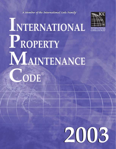A Member of the International Code Family



# INTERNATIONAL PROPERTY MAINTENANCE  $\bigcirc$  ODE

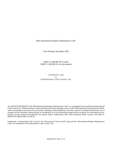2003 International Property Maintenance Code®

First Printing: December 2002

ISBN # 1-892395-69-X (soft) ISBN # 1-892395-91-6 (e-document)

COPYRIGHT © 2002 by INTERNATIONAL CODE COUNCIL, INC.

ALL RIGHTS RESERVED. This 2003 International Property Maintenance Code® is a copyrighted work owned by the International Code Council, Inc. Without advance written permission from the copyright owner, no part of this book may be reproduced, distributed or transmitted in any form or by any means, including, without limitation, electronic, optical or mechanical means (by way of example and not limitation, photocopying, or recording by or in an information storage retrieval system). For information on permission to copy material exceeding fair use, please contact: Publications, 4051 West Flossmoor Road, Country Club Hills, IL 60478-5795 (Phone 800-214-4321).

Trademarks: "International Code Council," the "International Code Council" logo and the "International Property Maintenance Code" are trademarks of the International Code Council, Inc.

PRINTED IN THE U.S.A.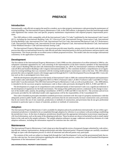# **PREFACE**

#### **Introduction**

Internationally, code officials recognize the need for a modern, up-to-date property maintenance code governing the maintenance of existing buildings. The *International Property Maintenance Code*, in this 2003 edition, is designed to meet this need through model code regulations that contain clear and specific property maintenance requirements with required property improvement provisions.

This 2003 edition is fully compatible with all the *International Codes* ("I-Codes") published by the International Code Council (ICC), including the *International Building Code, ICC Electrical Code, International Energy Conservation Code, International Existing Building Code, International Fire Code, International Fuel Gas Code, International Mechanical Code, ICC Performance Code, International Plumbing Code, International Private Sewage Disposal Code, International Residential Code, International Urban-Wildland Interface Code* and *International Zoning Code.*

The *International Property Maintenance Code* provisions provide many benefits, among which is the model code development process that offers an international forum for code officials and other interested parties to discuss performance and prescriptive code requirements. This forum provides an excellent arena to debate proposed revisions. This model code also encourages international consistency in the application of provisions.

#### **Development**

The first edition of the *International Property Maintenance Code* (1998) was the culmination of an effort initiated in 1996 by a development committee appointed by ICC and consisting of the representatives of the three statutory members of the International Code Council: Building Officials and Code Administrators International, Inc. (BOCA), International Conference of Building Officials (ICBO) and Southern Building Code Congress International (SBCCI). The committee drafted a comprehensive set of regulations for existing buildings that was consistent with the existing model property maintenance codes at the time. This 2003 edition presents the code as originally issued, with changes approved through the ICC Code Development Process through 2002. A new edition such as this is promulgated every three years.

With the development and publication of the family of*International Codes*in 2000, the continued development and maintenance of the model codes individually promulgated by BOCA ("BOCA National Codes"), ICBO ("Uniform Codes") and SBCCI ("Standard Codes") was discontinued. This 2003 *International Property Maintenance Code*, as well as its predecessor —the 2000 edition, is intended to be the successor property maintenance code to those codes previously developed by BOCA, ICBO and SBCCI.

The development of a single set of comprehensive and coordinated family of *International Codes* was a significant milestone in the development of regulations for the built environment. The timing of this publication mirrors a milestone in the change in structure of the model codes, namely, the pending Consolidation of BOCA, ICBO and SBCCI into the ICC. The activities and services previously provided by the individual model code organizations will be the responsibility of the Consolidated ICC.

This code is founded on principles intended to establish provisions consistent with the scope of a property maintenance code that adequately protects public health, safety and welfare; provisions that do not unnecessarily increase construction costs; provisions that do not restrict the use of new materials, productions or methods of construction; and provisions that do not give preferential treatment to particular types or classes of materials, products or methods of construction.

#### **Adoption**

The *International Property Maintenance Code* is available for adoption and use by jurisdictions internationally. Its use within a governmental jurisdiction is intended to be accomplished through adoption by reference in accordance with proceedings establishing the jurisdiction's laws. At the time of adoption, jurisdictions should insert the appropriate information in provisions requiring specific local information, such as the name of the adopting jurisdiction. These locations are shown in bracketed words in small capital letters in the code and in the sample ordinance. The sample adoption ordinance on page v addresses several key elements of a code adoption ordinance, including the information required for insertion into the code text.

#### **Maintenance**

The *International Property Maintenance Code* is kept up to date through the review of proposed changes submitted by code enforcing officials, industry representatives, design professionals and other interested parties. Proposed changes are carefully considered through an open code development process in which all interested and affected parties may participate.

The contents of this work are subject to change both through the Code Development Cycles and the governmental body that enacts the code into law. For more information regarding the code development process, contact the Code and Standard Development Department of the International Code Council.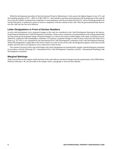While the development procedure of the *International Property Maintenance Code* assures the highest degree of care, ICC and the founding members of ICC—BOCA, ICBO, SBCCI—their members and those participating in the development of this code do not accept any liability resulting from compliance or noncompliance with the provisions because ICC and its founding members do not have the power or authority to police or enforce compliance with the contents of this code. Only the governmental body that enacts the code into law has such authority.

## **Letter Designations in Front of Section Numbers**

In each code development cycle, proposed changes to this code are considered at the Code Development Hearing by the International Property Maintenance Code Development Committee, whose action constitutes a recommendation to the voting membership for final action on the proposed change. Proposed changes to a code section whose number begins with a letter in brackets are considered by a different code development committee. For instance, proposed changes to code sections which have the letter [F] in front (e.g., [F] 704.1), are considered by the International Fire Code Development Committee at the Code Development Hearing. Where this designation is applicable to the entire content of a main section of the code, the designation appears at the main section number and title and is not repeated at every subsection in that section.

The content of sections in this code which begin with a letter designation are maintained by another code development committee in accordance with the following: [F] = International Fire Code Development Committee; and [P] = International Plumbing Code Development Committee.

## **Marginal Markings**

Solid vertical lines in the margins within the body of the code indicate a technical change from the requirements of the 2000 edition. Deletion indicators  $(\rightarrow)$  are provided in the margin where a paragraph or item has been deleted.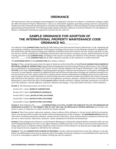# **ORDINANCE**

The *International Codes* are designed and promulgated to be adopted by reference by ordinance. Jurisdictions wishing to adopt the 2003 *International Property Maintenance Code* as an enforceable regulation governing existing structures and premises should ensure that certain factual information is included in the adopting ordinance at the time adoption is being considered by the appropriate governmental body. The following sample adoption ordinance addresses several key elements of a code adoption ordinance, including the information required for insertion into the code text.

# **SAMPLE ORDINANCE FOR ADOPTION OF THE INTERNATIONAL PROPERTY MAINTENANCE CODE ORDINANCE NO.\_\_\_\_\_\_\_\_**

An ordinance of the **[JURISDICTION]** adopting the 2003 edition of the *International Property Maintenance Code*, regulating and governing the conditions and maintenance of all property, buildings and structures; by providing the standards for supplied utilities and facilities and other physical things and conditions essential to ensure that structures are safe, sanitary and fit for occupation and use; and the condemnation of buildings and structures unfit for human occupancy and use, and the demolition of such existing structures in the **[JURISDICTION]**; providing for the issuance of permits and collection of fees therefor; repealing Ordinance No. \_\_\_\_\_\_ of the **[JURISDICTION]** and all other ordinances and parts of the ordinances in conflict therewith.

The **[GOVERNING BODY]** of the **[JURISDICTION]** does ordain as follows:

**Section 1.** That a certain document, three (3) copies of which are on file in the office of the **[TITLE OF JURISDICTION'S KEEPER OF RECORDS]** of**[NAME OF JURISDICTION]**, being marked and designated as the *International Property Maintenance Code*, 2003 edition, as published by the International Code Council, be and is hereby adopted as the Property Maintenance Code of the **[JURIS-DICTION]**, in the State of**[STATE NAME]** for regulating and governing the conditions and maintenance of all property, buildings and structures; by providing the standards for supplied utilities and facilities and other physical things and conditions essential to ensure that structures are safe, sanitary and fit for occupation and use; and the condemnation of buildings and structures unfit for human occupancy and use, and the demolition of such existing structures as herein provided; providing for the issuance of permits and collection of fees therefor; and each and all of the regulations, provisions, penalties, conditions and terms of said Property Maintenance Code on file in the office of the **[JURISDICTION]** are hereby referred to, adopted, and made a part hereof, as if fully set out in this ordinance, with the additions, insertions, deletions and changes, if any, prescribed in Section 2 of this ordinance.

**Section 2.** The following sections are hereby revised:

Section 101.1. Insert: **[NAME OF JURISDICTION]**

Section 103.5. Insert: **[APPROPRIATE SCHEDULE]**

Section 304.14. Insert: **[DATES IN TWO LOCATIONS]**

Section 602.3. Insert: **[DATES IN TWO LOCATIONS]**

Section 602.4. Insert: **[DATES IN TWO LOCATIONS]**

**Section 3.** That Ordinance No. \_\_\_\_\_\_ of **[JURISDICTION]** entitled **[FILL IN HERE THE COMPLETE TITLE OF THE ORDINANCE OR ORDINANCES IN EFFECT AT THE PRESENT TIME SO THAT THEY WILL BE REPEALED BY DEFINITE MENTION]** and all other ordinances or parts of ordinances in conflict herewith are hereby repealed.

**Section 4.** That if any section, subsection, sentence, clause or phrase of this ordinance is, for any reason, held to be unconstitutional, such decision shall not affect the validity of the remaining portions of this ordinance. The **[GOVERNING BODY]** hereby declares that it would have passed this ordinance, and each section, subsection, clause or phrase thereof, irrespective of the fact that any one or more sections, subsections, sentences, clauses and phrases be declared unconstitutional.

**Section 5.** That nothing in this ordinance or in the Property Maintenance Code hereby adopted shall be construed to affect any suit or proceeding impending in any court, or any rights acquired, or liability incurred, or any cause or causes of action acquired or existing, under any act or ordinance hereby repealed as cited in Section 2 of this ordinance; nor shall any just or legal right or remedy of any character be lost, impaired or affected by this ordinance.

**Section 6.** That the **[JURISDICTION'S KEEPER OF RECORDS]** is hereby ordered and directed to cause this ordinance to be published. (An additional provision may be required to direct the number of times the ordinance is to be published and to specify that it is to be in a newspaper in general circulation. Posting may also be required.)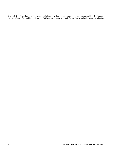**Section 7.** That this ordinance and the rules, regulations, provisions, requirements, orders and matters established and adopted hereby shall take effect and be in full force and effect **[TIME PERIOD]** from and after the date of its final passage and adoption.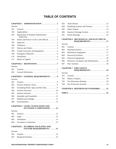# **TABLE OF CONTENTS**

|                                                                           | CHAPTER 1 ADMINISTRATION1                                                  |  |
|---------------------------------------------------------------------------|----------------------------------------------------------------------------|--|
| Section                                                                   |                                                                            |  |
| 101                                                                       |                                                                            |  |
| 102                                                                       |                                                                            |  |
| 103                                                                       | Department of Property Maintenance                                         |  |
| 104                                                                       | Duties and Powers of the Code Official2                                    |  |
| 105                                                                       |                                                                            |  |
| 106                                                                       |                                                                            |  |
| 107                                                                       |                                                                            |  |
| 108                                                                       | Unsafe Structures and Equipment3                                           |  |
| 109                                                                       | Emergency Measures4                                                        |  |
| 110                                                                       |                                                                            |  |
| 111                                                                       |                                                                            |  |
|                                                                           | CHAPTER 2 DEFINITIONS7                                                     |  |
| Section                                                                   |                                                                            |  |
| 201                                                                       |                                                                            |  |
| 202                                                                       |                                                                            |  |
|                                                                           | <b>CHAPTER 3 GENERAL REQUIREMENTS9</b>                                     |  |
| Section                                                                   |                                                                            |  |
| 301                                                                       |                                                                            |  |
| 302                                                                       |                                                                            |  |
| 303                                                                       |                                                                            |  |
| 304                                                                       |                                                                            |  |
| 305                                                                       |                                                                            |  |
| 306                                                                       | Handrails and Guardrails 11                                                |  |
| 307                                                                       |                                                                            |  |
| 308                                                                       |                                                                            |  |
|                                                                           | <b>CHAPTER 4 LIGHT, VENTILATION AND</b><br><b>OCCUPANCY LIMITATIONS 13</b> |  |
| Section                                                                   |                                                                            |  |
| 401                                                                       |                                                                            |  |
| 402                                                                       |                                                                            |  |
| 403                                                                       |                                                                            |  |
| 404                                                                       |                                                                            |  |
| <b>CHAPTER 5 PLUMBING FACILITIES AND</b><br><b>FIXTURE REQUIREMENTS15</b> |                                                                            |  |
| Section                                                                   |                                                                            |  |
| 501                                                                       |                                                                            |  |
| 502                                                                       |                                                                            |  |

| 503                                                |                                                                 |  |  |
|----------------------------------------------------|-----------------------------------------------------------------|--|--|
| 504                                                | Plumbing Systems and Fixtures  15                               |  |  |
| 505                                                |                                                                 |  |  |
| 506                                                | Sanitary Drainage System 16                                     |  |  |
| 507                                                |                                                                 |  |  |
|                                                    | <b>CHAPTER 6</b><br>MECHANICAL AND ELECTRICAL<br>REQUIREMENTS17 |  |  |
| Section                                            |                                                                 |  |  |
| 601                                                |                                                                 |  |  |
| 602                                                |                                                                 |  |  |
| 603                                                | Mechanical Equipment  17                                        |  |  |
| 604                                                |                                                                 |  |  |
| 605                                                |                                                                 |  |  |
| 606                                                | Elevators, Escalators and Dumbwaiters 18                        |  |  |
| 607                                                |                                                                 |  |  |
| <b>CHAPTER 7 FIRE SAFETY</b><br>REQUIREMENTS19     |                                                                 |  |  |
| Section                                            |                                                                 |  |  |
| 701                                                |                                                                 |  |  |
| 702                                                |                                                                 |  |  |
| 703                                                |                                                                 |  |  |
| 704                                                |                                                                 |  |  |
| <b>REFERENCED STANDARDS 21</b><br><b>CHAPTER 8</b> |                                                                 |  |  |

**[INDEX . . . . . . . . . . . . . . . . . . . . . . . . . . . . . . . . . . . . . . . . 23](#page-30-0)**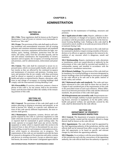# **CHAPTER 1 ADMINISTRATION**

#### **SECTION 101 GENERAL**

<span id="page-8-0"></span>**101.1 Title.** These regulations shall be known as the *Property Maintenance Code* of [NAME OF JURISDICTION], hereinafter referred to as "this code."

**101.2 Scope.**The provisions of this code shall apply to all existing residential and nonresidential structures and all existing premises and constitute minimum requirements and standards for premises, structures, equipment and facilities for light, ventilation, space, heating, sanitation, protection from the elements, life safety, safety from fire and other hazards, and for safe and sanitary maintenance; the responsibility of owners, operators and occupants; the occupancy of existing structures and premises, and for administration, enforcement and penalties.

**101.3 Intent.** This code shall be construed to secure its expressed intent, which is to ensure public health, safety and welfare insofar as they are affected by the continued occupancy and maintenance of structures and premises. Existing structures and premises that do not comply with these provisions shall be altered or repaired to provide a minimum level of health and safety as required herein. Repairs, alterations, additions to and change of occupancy in existing buildings shall comply with the *International Existing Building Code*.

**101.4 Severability.** If a section, subsection, sentence, clause or phrase of this code is, for any reason, held to be unconstitutional, such decision shall not affect the validity of the remaining portions of this code.

#### **SECTION 102 APPLICABILITY**

**102.1 General.** The provisions of this code shall apply to all matters affecting or relating to structures and premises, as set forth in Section 101. Where, in a specific case, different sections of this code specify different requirements, the most restrictive shall govern.

**102.2 Maintenance.** Equipment, systems, devices and safeguards required by this code or a previous regulation or code under which the structure or premises was constructed, altered or repaired shall be maintained in good working order. No owner, operator or occupant shall cause any service, facility, equipment or utility which is required under this section to be removed from or shut off from or discontinued for any occupied dwelling, except for such temporary interruption as necessary while repairs or alterations are in progress. The requirements of this code are not intended to provide the basis for removal or abrogation of fire protection and safety systems and devices in existing structures. Except as otherwise specified herein, the owner or the owner's designated agent shall be

responsible for the maintenance of buildings, structures and premises.

**102.3 Application of other codes.** Repairs, additions or alterations to a structure, or changes of occupancy, shall be done in accordance with the procedures and provisions of the *International Existing Building Code.* Nothing in this code shall be construed to cancel, modify or set aside any provision of the *International Zoning Code*.

**102.4 Existing remedies.** The provisions in this code shall not be construed to abolish or impair existing remedies of the jurisdiction or its officers or agencies relating to the removal or demolition of any structure which is dangerous, unsafe and insanitary.

**102.5 Workmanship.** Repairs, maintenance work, alterations or installations which are caused directly or indirectly by the enforcement of this code shall be executed and installed in a workmanlike manner and installed in accordance with the manufacturer's installation instructions.

**102.6 Historic buildings.** The provisions of this code shall not be mandatory for existing buildings or structures designated as historic buildings when such buildings or structures are judged by the code official to be safe and in the public interest of health, safety and welfare.

**102.7 Referenced codes and standards.** The codes and standards referenced in this code shall be those that are listed in Chapter 8 and considered part of the requirements of this code to the prescribed extent of each such reference. Where differences occur between provisions of this code and the referenced standards, the provisions of this code shall apply.

**102.8 Requirements not covered by code.**Requirements necessary for the strength, stability or proper operation of an existing fixture, structure or equipment, or for the public safety, health and general welfare, not specifically covered by this code, shall be determined by the code official.

#### **SECTION 103 DEPARTMENT OF PROPERTY MAINTENANCE INSPECTION**

**103.1 General.** The department of property maintenance inspection is hereby created and the executive official in charge thereof shall be known as the code official.

**103.2 Appointment.** The code official shall be appointed by the chief appointing authority of the jurisdiction; and the code official shall not be removed from office except for cause and after full opportunity to be heard on specific and relevant charges by and before the appointing authority.

**103.3 Deputies.** In accordance with the prescribed procedures of this jurisdiction and with the concurrence of the appointing authority, the code official shall have the authority to appoint a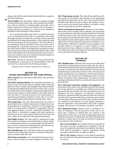➡

<span id="page-9-0"></span>deputy code official, other related technical officers, inspectors and other employees.

**103.4 Liability.** The code official, officer or employee charged with the enforcement of this code, while acting for the jurisdiction, shall not thereby be rendered liable personally, and is hereby relieved from all personal liability for any damage accruing to persons or property as a result of an act required or permitted in the discharge of official duties.

Any suit instituted against any officer or employee because of an act performed by that officer or employee in the lawful discharge of duties and under the provisions of this code shall be defended by the legal representative of the jurisdiction until the final termination of the proceedings. The code official or any subordinate shall not be liable for costs in an action, suit or proceeding that is instituted in pursuance of the provisions of this code; and any officer of the department of property maintenance inspection, acting in good faith and without malice, shall be free from liability for acts performed under any of its provisions or by reason of any act or omission in the performance of official duties in connection therewith.

**103.5 Fees.** The fees for activities and services performed by the department in carrying out its responsibilities under this code shall be as indicated in the following schedule.

[JURISDICTION TO INSERT APPROPRIATE SCHEDULE.]

#### **SECTION 104 DUTIES AND POWERS OF THE CODE OFFICIAL**

**104.1 General.** The code official shall enforce the provisions of this code.

**104.2 Rule-making authority.** The code official shall have authority as necessary in the interest of public health, safety and general welfare, to adopt and promulgate rules and procedures; to interpret and implement the provisions of this code; to secure the intent thereof; and to designate requirements applicable because of local climatic or other conditions. Such rules shall not have the effect of waiving structural or fire performance requirements specifically provided for in this code, or of violating accepted engineering methods involving public safety.

**104.3 Inspections.** The code official shall make all of the required inspections, or shall accept reports of inspection by approved agencies or individuals. All reports of such inspections shall be in writing and be certified by a responsible officer of such approved agency or by the responsible individual. The code official is authorized to engage such expert opinion as deemed necessary to report upon unusual technical issues that arise, subject to the approval of the appointing authority.

**104.4 Right of entry.** The code official is authorized to enter the structure or premises at reasonable times to inspect subject to constitutional restrictions on unreasonable searches and seizures. If entry is refused or not obtained, the code official is authorized to pursue recourse as provided by law.

**104.5 Identification.** The code official shall carry proper identification when inspecting structures or premises in the performance of duties under this code.

**104.6 Notices and orders.** The code official shall issue all necessary notices or orders to ensure compliance with this code.

**104.7 Department records.** The code official shall keep official records of all business and activities of the department specified in the provisions of this code. Such records shall be retained in the official records as long as the building or structure to which such records relate remains in existence, unless otherwise provided for by other regulations.

**104.8 Coordination of inspections.** Whenever in the enforcement of this code or another code or ordinance, the responsibility of more than one code official of the jurisdiction is involved, it shall be the duty of the code officials involved to coordinate their inspections and administrative orders as fully as practicable so that the owners and occupants of the structure shall not be subjected to visits by numerous inspectors or multiple or conflicting orders. Whenever an inspector from any agency or department observes an apparent or actual violation of some provision of some law, ordinance or code not within the inspector's authority to enforce, the inspector shall report the findings to the code official having jurisdiction.

#### **SECTION 105 APPROVAL**

**105.1 Modifications.** Whenever there are practical difficulties involved in carrying out the provisions of this code, the code official shall have the authority to grant modifications for individual cases, provided the code official shall first find that special individual reason makes the strict letter of this code impractical and the modification is in compliance with the intent and purpose of this code and that such modification does not lessen health, life and fire safety requirements. The details of action granting modifications shall be recorded and entered in the department files.

**105.2 Alternative materials, methods and equipment.** The provisions of this code are not intended to prevent the installation of any material or to prohibit any method of construction not specifically prescribed by this code, provided that any such alternative has been approved. An alternative material or method of construction shall be approved where the code official finds that the proposed design is satisfactory and complies with the intent of the provisions of this code, and that the material, method or work offered is, for the purpose intended, at least the equivalent of that prescribed in this code in quality, strength, effectiveness, fire resistance, durability and safety.

**105.3 Required testing.** Whenever there is insufficient evidence of compliance with the provisions of this code, or evidence that a material or method does not conform to the requirements of this code, or in order to substantiate claims for alternative materials or methods, the code official shall have the authority to require tests to be made as evidence of compliance at no expense to the jurisdiction.

**105.3.1 Test methods.** Test methods shall be as specified in this code or by other recognized test standards. In the absence of recognized and accepted test methods, the code official shall be permitted to approve appropriate testing procedures performed by an approved agency.

**105.3.2 Test reports.** Reports of tests shall be retained by the code official for the period required for retention of public records.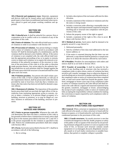<span id="page-10-0"></span>**105.4 Material and equipment reuse.** Materials, equipment and devices shall not be reused unless such elements are in good repair or have been reconditioned and tested when necessary, placed in good and proper working condition and approved.

#### **SECTION 106 VIOLATIONS**

**106.1 Unlawful acts.** It shall be unlawful for a person, firm or corporation to be in conflict with or in violation of any of the provisions of this code.

**106.2 Notice of violation.** The code official shall serve a notice of violation or order in accordance with Section 107.

**106.3 Prosecution of violation.** Any person failing to comply with a notice of violation or order served in accordance with Section 107 shall be deemed guilty of a misdemeanor, and the violation shall be deemed a strict liability offense. If the notice of violation is not complied with, the code official shall institute the appropriate proceeding at law or in equity to restrain, correct or abate such violation, or to require the removal or termination of the unlawful occupancy of the structure in violation of the provisions of this code or of the order or direction made pursuant thereto. Any action taken by the authority having jurisdiction on such premises shall be charged against the real estate upon which the structure is located and shall be a lien upon such real estate.

**106.4 Violation penalties.** Any person who shall violate a provision of this code, or fail to comply therewith, or with any of the requirements thereof, shall be prosecuted within the limits provided by state or local laws. Each day that a violation continues after due notice has been served shall be deemed a separate offense.

**106.5 Abatement of violation.** The imposition of the penalties herein prescribed shall not preclude the legal officer of the jurisdiction from instituting appropriate action to restrain, correct or abate a violation, or to prevent illegal occupancy of a building, structure or premises, or to stop an illegal act, conduct, business or utilization of the building, structure or premises.

#### **SECTION 107 NOTICES AND ORDERS**

**107.1 Notice to person responsible.** Whenever the code official determines that there has been a violation of this code or has grounds to believe that a violation has occurred, notice shall be given in the manner prescribed in Sections 107.2 and 107.3 to the person responsible for the violation as specified in this code. Notices for condemnation procedures shall also comply with Section 108.3.

**107.2 Form.** Such notice prescribed in Section 107.1 shall be in accordance with all of the following:

1. Be in writing.

- 2. Include a description of the real estate sufficient for identification.
- 3. Include a statement of the violation or violations and why the notice is being issued.
- 4. Include a correction order allowing a reasonable time to make the repairs and improvements required to bring the dwelling unit or structure into compliance with the provisions of this code.
- 5. Inform the property owner of the right to appeal.
- 6. Include a statement of the right to file a lien in accordance with Section 106.3.

**107.3 Method of service.** Such notice shall be deemed to be properly served if a copy thereof is:

- 1. Delivered personally;
- 2. Sent by certified or first-class mail addressed to the last known address; or
- 3. If the notice is returned showing that the letter was not delivered, a copy thereof shall be posted in a conspicuous place in or about the structure affected by such notice.

**107.4 Penalties.** Penalties for noncompliance with orders and notices shall be as set forth in Section 106.4.

**107.5 Transfer of ownership.** It shall be unlawful for the owner of any dwelling unit or structure who has received a compliance order or upon whom a notice of violation has been served to sell, transfer, mortgage, lease or otherwise dispose of such dwelling unit or structure to another until the provisions of the compliance order or notice of violation have been complied with, or until such owner shall first furnish the grantee, transferee, mortgagee or lessee a true copy of any compliance order or notice of violation issued by the code official and shall furnish to the code official a signed and notarized statement from the grantee, transferee, mortgagee or lessee, acknowledging the receipt of such compliance order or notice of violation and fully accepting the responsibility without condition for making the corrections or repairs required by such compliance order or notice of violation.

#### **SECTION 108 UNSAFE STRUCTURES AND EQUIPMENT**

**108.1 General.** When a structure or equipment is found by the code official to be unsafe, or when a structure is found unfit for human occupancy, or is found unlawful, such structure shall be condemned pursuant to the provisions of this code.

**108.1.1 Unsafe structures.** An unsafe structure is one that is found to be dangerous to the life, health, property or safety of the public or the occupants of the structure by not providing minimum safeguards to protect or warn occupants in the event of fire, or because such structure contains unsafe equipment or is so damaged, decayed, dilapidated, structurally unsafe or of such faulty construction or unstable foundation, that partial or complete collapse is possible.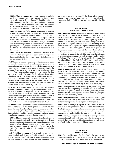<span id="page-11-0"></span>**108.1.2 Unsafe equipment.** Unsafe equipment includes any boiler, heating equipment, elevator, moving stairway, electrical wiring or device, flammable liquid containers or other equipment on the premises or within the structure which is in such disrepair or condition that such equipment is a hazard to life, health, property or safety of the public or occupants of the premises or structure.

**108.1.3 Structure unfit for human occupancy.** A structure is unfit for human occupancy whenever the code official finds that such structure is unsafe, unlawful or, because of the degree to which the structure is in disrepair or lacks maintenance, is insanitary, vermin or rat infested, contains filth and contamination, or lacks ventilation, illumination, sanitary or heating facilities or other essential equipment required by this code, or because the location of the structure constitutes a hazard to the occupants of the structure or to the public.

**108.1.4 Unlawful structure.** An unlawful structure is one found in whole or in part to be occupied by more persons than permitted under this code, or was erected, altered or occupied contrary to law.

**108.2 Closing of vacant structures.** If the structure is vacant and unfit for human habitation and occupancy, and is not in danger of structural collapse, the code official is authorized to post a placard of condemnation on the premises and order the structure closed up so as not to be an attractive nuisance. Upon failure of the owner to close up the premises within the time specified in the order, the code official shall cause the premises to be closed and secured through any available public agency or by contract or arrangement by private persons and the cost thereof shall be charged against the real estate upon which the structure is located and shall be a lien upon such real estate and may be collected by any other legal resource.

**108.3 Notice.** Whenever the code official has condemned a structure or equipment under the provisions of this section, notice shall be posted in a conspicuous place in or about the structure affected by such notice and served on the owner or the person or persons responsible for the structure or equipment in accordance with Section 107.3. If the notice pertains to equipment, it shall also be placed on the condemned equipment. The notice shall be in the form prescribed in Section 107.2.

**108.4 Placarding.** Upon failure of the owner or person responsible to comply with the notice provisions within the time given, the code official shall post on the premises or on defective equipment a placard bearing the word "Condemned" and a statement of the penalties provided for occupying the premises, operating the equipment or removing the placard.

**108.4.1 Placard removal.** The code official shall remove the condemnation placard whenever the defect or defects upon which the condemnation and placarding action were based have been eliminated. Any person who defaces or removes a condemnation placard without the approval of the code official shall be subject to the penalties provided by this code.

**108.5 Prohibited occupancy.** Any occupied structure condemned and placarded by the code official shall be vacated as ordered by the code official. Any person who shall occupy a placarded premises or shall operate placarded equipment, and

any owner or any person responsible for the premises who shall let anyone occupy a placarded premises or operate placarded equipment shall be liable for the penalties provided by this code.

#### **SECTION 109 EMERGENCY MEASURES**

**109.1 Imminent danger.** When, in the opinion of the code official, there is imminent danger of failure or collapse of a building or structure which endangers life, or when any structure or part of a structure has fallen and life is endangered by the occupation of the structure, or when there is actual or potential danger to the building occupants or those in the proximity of any structure because of explosives, explosive fumes or vapors or the presence of toxic fumes, gases or materials, or operation of defective or dangerous equipment, the code official is hereby authorized and empowered to order and require the occupants to vacate the premises forthwith. The code official shall cause to be posted at each entrance to such structure a notice reading as follows: "This Structure Is Unsafe and Its Occupancy Has Been Prohibited by the Code Official." It shall be unlawful for any person to enter such structure except for the purpose of securing the structure, making the required repairs, removing the hazardous condition or of demolishing the same.

**109.2 Temporary safeguards.** Notwithstanding other provisions of this code, whenever, in the opinion of the code official, there is imminent danger due to an unsafe condition, the code official shall order the necessary work to be done, including the boarding up of openings, to render such structure temporarily safe whether or not the legal procedure herein described has been instituted; and shall cause such other action to be taken as the code official deems necessary to meet such emergency.

**109.3 Closing streets.** When necessary for public safety, the code official shall temporarily close structures and close, or order the authority having jurisdiction to close, sidewalks, streets, public ways and places adjacent to unsafe structures, and prohibit the same from being utilized.

**109.4 Emergency repairs.** For the purposes of this section, the code official shall employ the necessary labor and materials to perform the required work as expeditiously as possible.

**109.5 Costs of emergency repairs.** Costs incurred in the performance of emergency work shall be paid by the jurisdiction. The legal counsel of the jurisdiction shall institute appropriate action against the owner of the premises where the unsafe structure is or was located for the recovery of such costs.

**109.6 Hearing.** Any person ordered to take emergency measures shall comply with such order forthwith. Any affected person shall thereafter, upon petition directed to the appeals board, be afforded a hearing as described in this code.

#### **SECTION 110 DEMOLITION**

**110.1 General.** The code official shall order the owner of any premises upon which is located any structure, which in the code official's judgment is so old, dilapidated or has become so out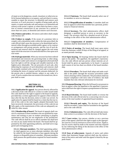<span id="page-12-0"></span>of repair as to be dangerous, unsafe, insanitary or otherwise unfit for human habitation or occupancy, and such that it is unreasonable to repair the structure, to demolish and remove such structure; or if such structure is capable of being made safe by repairs, to repair and make safe and sanitary or to demolish and remove at the owner's option; or where there has been a cessation of normal construction of any structure for a period of more than two years, to demolish and remove such structure.

**110.2 Notices and orders.** All notices and orders shall comply with Section 107.

**110.3 Failure to comply.** If the owner of a premises fails to comply with a demolition order within the time prescribed, the code official shall cause the structure to be demolished and removed, either through an available public agency or by contract or arrangement with private persons, and the cost of such demolition and removal shall be charged against the real estate upon which the structure is located and shall be a lien upon such real estate.

**110.4 Salvage materials.** When any structure has been ordered demolished and removed, the governing body or other designated officer under said contract or arrangement aforesaid shall have the right to sell the salvage and valuable materials at the highest price obtainable. The net proceeds of such sale, after deducting the expenses of such demolition and removal, shall be promptly remitted with a report of such sale or transaction, including the items of expense and the amounts deducted, for the person who is entitled thereto, subject to any order of a court. If such a surplus does not remain to be turned over, the report shall so state.

#### **SECTION 111 MEANS OF APPEAL**

**111.1 Application for appeal.** Any person directly affected by a decision of the code official or a notice or order issued under this code shall have the right to appeal to the board of appeals, provided that a written application for appeal is filed within 20 days after the day the decision, notice or order was served. An application for appeal shall be based on a claim that the true intent of this code or the rules legally adopted thereunder have been incorrectly interpreted, the provisions of this code do not fully apply, or the requirements of this code are adequately satisfied by other means.

**111.2 Membership of board.** The board of appeals shall consist of a minimum of three members who are qualified by experience and training to pass on matters pertaining to property maintenance and who are not employees of the jurisdiction. The code official shall be an ex-officio member but shall have no vote on any matter before the board. The board shall be appointed by the chief appointing authority, and shall serve staggered and overlapping terms.

**111.2.1 Alternate members.** The chief appointing authority shall appoint two or more alternate members who shall be called by the board chairman to hear appeals during the absence or disqualification of a member. Alternate members shall possess the qualifications required for board membership.

**111.2.2 Chairman.** The board shall annually select one of its members to serve as chairman.

**111.2.3 Disqualification of member.** A member shall not hear an appeal in which that member has a personal, professional or financial interest.

**111.2.4 Secretary.** The chief administrative officer shall designate a qualified person to serve as secretary to the board. The secretary shall file a detailed record of all proceedings in the office of the chief administrative officer.

**111.2.5 Compensation of members.** Compensation of members shall be determined by law.

**111.3 Notice of meeting.** The board shall meet upon notice from the chairman, within 20 days of the filing of an appeal, or at stated periodic meetings.

**111.4 Open hearing.** All hearings before the board shall be open to the public. The appellant, the appellant's representative, the code official and any person whose interests are affected shall be given an opportunity to be heard. A quorum shall consist of not less than two-thirds of the board membership.

**111.4.1 Procedure.** The board shall adopt and make available to the public through the secretary procedures under which a hearing will be conducted. The procedures shall not require compliance with strict rules of evidence, but shall mandate that only relevant information be received.

**111.5 Postponed hearing.**When the full board is not present to hear an appeal, either the appellant or the appellant's representative shall have the right to request a postponement of the hearing.

**111.6 Board decision.** The board shall modify or reverse the decision of the code official only by a concurring vote of a majority of the total number of appointed board members.

**111.6.1 Records and copies.** The decision of the board shall be recorded. Copies shall be furnished to the appellant and to the code official.

**111.6.2 Administration.** The code official shall take immediate action in accordance with the decision of the board.

**111.7 Court review.** Any person, whether or not a previous party of the appeal, shall have the right to apply to the appropriate court for a writ of certiorari to correct errors of law. Application for review shall be made in the manner and time required by law following the filing of the decision in the office of the chief administrative officer.

**111.8 Stays of enforcement.** Appeals of notice and orders (other than Imminent Danger notices) shall stay the enforcement of the notice and order until the appeal is heard by the appeals board.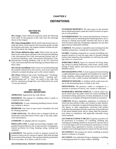# **CHAPTER 2 DEFINITIONS**

#### **SECTION 201 GENERAL**

<span id="page-14-0"></span>**201.1 Scope.** Unless otherwise expressly stated, the following terms shall, for the purposes of this code, have the meanings shown in this chapter.

**201.2 Interchangeability.** Words stated in the present tense include the future; words stated in the masculine gender include the feminine and neuter; the singular number includes the plural and the plural, the singular.

**201.3 Terms defined in other codes.** Where terms are not defined in this code and are defined in the *International Building Code*, *International Fire Code*, *International Zoning Code*, *International Plumbing Code*, *International Mechanical Code*,

*International Existing Building Code* or the ICC *Electrical Code*, such terms shall have the meanings ascribed to them as in those codes.

**201.4 Terms not defined.** Where terms are not defined through the methods authorized by this section, such terms shall have ordinarily accepted meanings such as the context implies.

**201.5 Parts.** Whenever the words "dwelling unit," "dwelling," "premises," "building," "rooming house," "rooming unit" "housekeeping unit" or "story" are stated in this code, they shall be construed as though they were followed by the words "or any part thereof."

#### **SECTION 202 GENERAL DEFINITIONS**

**APPROVED.** Approved by the code official.

**BASEMENT.** That portion of a building which is partly or completely below grade.

**BATHROOM.** A room containing plumbing fixtures including a bathtub or shower.

**BEDROOM.** Any room or space used or intended to be used for sleeping purposes.

**CODE OFFICIAL.** The official who is charged with the administration and enforcement of this code, or any duly authorized representative.

**CONDEMN.** To adjudge unfit for occupancy.

**DWELLING UNIT.** A single unit providing complete, independent living facilities for one or more persons, including permanent provisions for living, sleeping, eating, cooking and sanitation.

**EASEMENT.** That portion of land or property reserved for present or future use by a person or agency other than the legal fee owner(s) of the property. The easement shall be permitted to be for use under, on or above a said lot or lots.

**EXTERIOR PROPERTY.** The open space on the premises and on adjoining property under the control of owners or operators of such premises.

**EXTERMINATION.** The control and elimination of insects, rats or other pests by eliminating their harborage places; by removing or making inaccessible materials that serve as their food; by poison spraying, fumigating, trapping or by any other approved pest elimination methods.

**GARBAGE.** The animal or vegetable waste resulting from the handling, preparation, cooking and consumption of food.

**GUARD.** A building component or a system of building components located at or near the open sides of elevated walking surfaces that minimizes the possibility of a fall from the walking surface to a lower level.

**HABITABLE SPACE.** Space in a structure for living, sleeping, eating or cooking. Bathrooms, toilet rooms, closets, halls, storage or utility spaces, and similar areas are not considered habitable spaces.

**HOUSEKEEPING UNIT.** A room or group of rooms forming a single habitable space equipped and intended to be used for living, sleeping, cooking and eating which does not contain, within such a unit, a toilet, lavatory and bathtub or shower.

**IMMINENT DANGER.** A condition which could cause serious or life-threatening injury or death at any time.

**INFESTATION.** The presence, within or contiguous to, a structure or premises of insects, rats, vermin or other pests.

**INOPERABLE MOTOR VEHICLE.** A vehicle which cannot be driven upon the public streets for reason including but not limited to being unlicensed, wrecked, abandoned, in a state of disrepair, or incapable of being moved under its own power.

**LABELED.** Devices, equipment, appliances, or materials to which has been affixed a label, seal, symbol or other identifying mark of a nationally recognized testing laboratory, inspection agency or other organization concerned with product evaluation that maintains periodic inspection of the production of the above-labeled items and by whose label the manufacturer attests to compliance with applicable nationally recognized standards.

**LET FOR OCCUPANCY OR LET.** To permit, provide or offer possession or occupancy of a dwelling, dwelling unit, rooming unit, building, premise or structure by a person who is or is not the legal owner of record thereof, pursuant to a written or unwritten lease, agreement or license, or pursuant to a recorded or unrecorded agreement of contract for the sale of land.

**OCCUPANCY.** The purpose for which a building or portion thereof is utilized or occupied.

**OCCUPANT.** Any individual living or sleeping in a building, or having possession of a space within a building.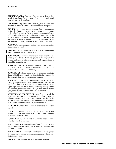**OPENABLE AREA.** That part of a window, skylight or door which is available for unobstructed ventilation and which opens directly to the outdoors.

**OPERATOR.** Any person who has charge, care or control of a structure or premises which is let or offered for occupancy.

**OWNER.** Any person, agent, operator, firm or corporation having a legal or equitable interest in the property; or recorded in the official records of the state, county or municipality as holding title to the property; or otherwise having control of the property, including the guardian of the estate of any such person, and the executor or administrator of the estate of such person if ordered to take possession of real property by a court.

**PERSON.** An individual, corporation, partnership or any other group acting as a unit.

**PREMISES.** A lot, plot or parcel of land, easement or public way, including any structures thereon.

**PUBLIC WAY.** Any street, alley or similar parcel of land essentially unobstructed from the ground to the sky, which is deeded, dedicated or otherwise permanently appropriated to the public for public use.

**ROOMING HOUSE.** A building arranged or occupied for lodging, with or without meals, for compensation and not occupied as a one- or two-family dwelling.

**ROOMING UNIT.** Any room or group of rooms forming a single habitable unit occupied or intended to be occupied for sleeping or living, but not for cooking purposes.

**RUBBISH.**Combustible and noncombustible waste materials, except garbage; the term shall include the residue from the burning of wood, coal, coke and other combustible materials, paper, rags, cartons, boxes, wood, excelsior, rubber, leather, tree branches, yard trimmings, tin cans, metals, mineral matter, glass, crockery and dust and other similar materials.

**STRICT LIABILITY OFFENSE.** An offense in which the prosecution in a legal proceeding is not required to prove criminal intent as a part of its case. It is enough to prove that the defendant either did an act which was prohibited, or failed to do an act which the defendant was legally required to do.

**STRUCTURE.** That which is built or constructed or a portion thereof.

**TENANT.** A person, corporation, partnership or group, whether or not the legal owner of record, occupying a building or portion thereof as a unit.

**TOILET ROOM.** A room containing a water closet or urinal but not a bathtub or shower.

**VENTILATION.** The natural or mechanical process of supplying conditioned or unconditioned air to, or removing such air from, any space.

**WORKMANLIKE.**Executed in a skilled manner; e.g., generally plumb, level, square, in line, undamaged and without marring adjacent work.

**YARD.** An open space on the same lot with a structure.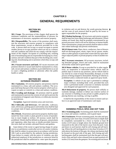# **CHAPTER 3 GENERAL REQUIREMENTS**

#### **SECTION 301 GENERAL**

<span id="page-16-0"></span>**301.1 Scope.** The provisions of this chapter shall govern the minimum conditions and the responsibilities of persons for maintenance of structures, equipment and exterior property.

**301.2 Responsibility.** The owner of the premises shall maintain the structures and exterior property in compliance with these requirements, except as otherwise provided for in this code. A person shall not occupy as owner-occupant or permit another person to occupy premises which are not in a sanitary and safe condition and which do not comply with the requirements of this chapter. Occupants of a dwelling unit, rooming unit or housekeeping unit are responsible for keeping in a clean, sanitary and safe condition that part of the dwelling unit, rooming unit, housekeeping unit or premises which they occupy and control.

**301.3 Vacant structures and land.** All vacant structures and premises thereof or vacant land shall be maintained in a clean, safe, secure and sanitary condition as provided herein so as not to cause a blighting problem or adversely affect the public health or safety.

#### **SECTION 302 EXTERIOR PROPERTY AREAS**

**302.1 Sanitation.** All exterior property and premises shall be maintained in a clean, safe and sanitary condition. The occupant shall keep that part of the exterior property which such occupant occupies or controls in a clean and sanitary condition.

**302.2 Grading and drainage.** All premises shall be graded and maintained to prevent the erosion of soil and to prevent the accumulation of stagnant water thereon, or within any structure located thereon.

**Exception:** Approved retention areas and reservoirs.

**302.3 Sidewalks and driveways.** All sidewalks, walkways, stairs, driveways, parking spaces and similar areas shall be kept in a proper state of repair, and maintained free from hazardous conditions.

**302.4 Weeds.** All premises and exterior property shall be maintained free from weeds or plant growth in excess of (jurisdiction to insert height in inches). All noxious weeds shall be prohibited. Weeds shall be defined as all grasses, annual plants and vegetation, other than trees or shrubs provided; however, this term shall not include cultivated flowers and gardens.

Upon failure of the owner or agent having charge of a property to cut and destroy weeds after service of a notice violation, they shall be subject to prosecution in accordance with Section 106.3 and as prescribed by the authority having jurisdiction. Upon failure to comply with the notice of violation, any duly authorized employee of the jurisdiction or contractor hired by the jurisdiction shall be authorized to enter upon the property in violation and cut and destroy the weeds growing thereon, and the costs of such removal shall be paid by the owner or agent responsible for the property.

**302.5 Rodent harborage.** All structures and exterior property shall be kept free from rodent harborage and infestation. Where rodents are found, they shall be promptly exterminated by approved processes which will not be injurious to human health. After extermination, proper precautions shall be taken to eliminate rodent harborage and prevent reinfestation.

**302.6 Exhaust vents.** Pipes, ducts, conductors, fans or blowers shall not discharge gases, steam, vapor, hot air, grease, smoke, odors or other gaseous or particulate wastes directly upon abutting or adjacent public or private property or that of another tenant.

**302.7 Accessory structures.** All accessory structures, including detached garages, fences and walls, shall be maintained structurally sound and in good repair.

**302.8 Motor vehicles.** Except as provided for in other regulations, no inoperative or unlicensed motor vehicle shall be parked, kept or stored on any premises, and no vehicle shall at any time be in a state of major disassembly, disrepair, or in the process of being stripped or dismantled. Painting of vehicles is prohibited unless conducted inside an approved spray booth.

**Exception:** A vehicle of any type is permitted to undergo major overhaul, including body work, provided that such work is performed inside a structure or similarly enclosed area designed and approved for such purposes.

**302.9 Defacement of property.** No person shall willfully or wantonly damage, mutilate or deface any exterior surface of any structure or building on any private or public property by placing thereon any marking, carving or graffiti.

It shall be the responsibility of the owner to restore said surface to an approved state of maintenance and repair.

#### **SECTION 303 SWIMMING POOLS, SPAS AND HOT TUBS**

**303.1 Swimming pools.** Swimming pools shall be maintained in a clean and sanitary condition, and in good repair.

**303.2 Enclosures.** Private swimming pools, hot tubs and spas, containing water more than 24 inches (610 mm) in depth shall be completely surrounded by a fence or barrier at least 48 inches (1219 mm) in height above the finished ground level measured on the side of the barrier away from the pool. Gates and doors in such barriers shall be self-closing and self-latching. Where the self-latching device is less than 54 inches (1372 mm) above the bottom of the gate, the release mechanism shall be located on the pool side of the gate. Self-closing and selflatching gates shall be maintained such that the gate will positively close and latch when released from an open position of 6 inches (152 mm) from the gatepost. No existing pool enclosure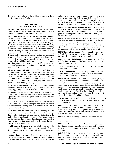<span id="page-17-0"></span>shall be removed, replaced or changed in a manner that reduces its effectiveness as a safety barrier.

#### **SECTION 304 EXTERIOR STRUCTURE**

**304.1 General.** The exterior of a structure shall be maintained in good repair, structurally sound and sanitary so as not to pose a threat to the public health, safety or welfare.

**304.2 Protective treatment.** All exterior surfaces, including but not limited to, doors, door and window frames, cornices, porches, trim, balconies, decks and fences shall be maintained in good condition. Exterior wood surfaces, other than decay-resistant woods, shall be protected from the elements and decay by painting or other protective covering or treatment. Peeling, flaking and chipped paint shall be eliminated and surfaces repainted. All siding and masonry joints as well as those between the building envelope and the perimeter of windows, doors, and skylights shall be maintained weather resistant and water tight. All metal surfaces subject to rust or corrosion shall be coated to inhibit such rust and corrosion and all surfaces with rust or corrosion shall be stabilized and coated to inhibit future rust and corrosion. Oxidation stains shall be removed from exterior surfaces. Surfaces designed for stabilization by oxidation are exempt from this requirement.

**[F] 304.3 Premises identification.** Buildings shall have approved address numbers placed in a position to be plainly legible and visible from the street or road fronting the property. These numbers shall contrast with their background. Address numbers shall be Arabic numerals or alphabet letters. Numbers shall be a minimum of 4 inches (102 mm) high with a minimum stroke width of 0.5 inch (12.7 mm).

**304.4 Structural members.** All structural members shall be maintained free from deterioration, and shall be capable of safely supporting the imposed dead and live loads.

**304.5 Foundation walls.** All foundation walls shall be maintained plumb and free from open cracks and breaks and shall be kept in such condition so as to prevent the entry of rodents and other pests.

**304.6 Exterior walls.** All exterior walls shall be free from holes, breaks, and loose or rotting materials; and maintained weatherproof and properly surface coated where required to prevent deterioration.

**304.7 Roofs and drainage.** The roof and flashing shall be sound, tight and not have defects that admit rain. Roof drainage shall be adequate to prevent dampness or deterioration in the walls or interior portion of the structure. Roof drains, gutters and downspouts shall be maintained in good repair and free from obstructions. Roof water shall not be discharged in a manner that creates a public nuisance.

**304.8 Decorative features.** All cornices, belt courses, corbels, terra cotta trim, wall facings and similar decorative features shall be maintained in good repair with proper anchorage and in a safe condition.

**304.9 Overhang extensions.** All overhang extensions including, but not limited to canopies, marquees, signs, metal awnings, fire escapes, standpipes and exhaust ducts shall be maintained in good repair and be properly anchored so as to be kept in a sound condition. When required, all exposed surfaces of metal or wood shall be protected from the elements and against decay or rust by periodic application of weather-coating materials, such as paint or similar surface treatment.

**304.10 Stairways, decks, porches and balconies.** Every exterior stairway, deck, porch and balcony, and all appurtenances attached thereto, shall be maintained structurally sound, in good repair, with proper anchorage and capable of supporting the imposed loads.

**304.11 Chimneys and towers.** All chimneys, cooling towers, smoke stacks, and similar appurtenances shall be maintained structurally safe and sound, and in good repair. All exposed surfaces of metal or wood shall be protected from the elements and against decay or rust by periodic application of weather-coating materials, such as paint or similar surface treatment.

**304.12 Handrails and guards.** Every handrail and guard shall be firmly fastened and capable of supporting normally imposed loads and shall be maintained in good condition.

**304.13 Window, skylight and door frames.** Every window, skylight, door and frame shall be kept in sound condition, good repair and weather tight.

**303.13.1 Glazing.** All glazing materials shall be maintained free from cracks and holes.

**303.13.2 Openable windows.** Every window, other than a fixed window, shall be easily openable and capable of being held in position by window hardware.

**304.14 Insect screens.** During the period from [DATE] to [DATE], every door, window and other outside opening required for ventilation of habitable rooms, food preparation areas, food service areas or any areas where products to be included or utilized in food for human consumption are processed, manufactured, packaged or stored, shall be supplied with approved tightly fitting screens of not less than 16 mesh per inch (16 mesh per 25 mm) and every swinging door shall have a selfclosing device in good working condition.

**Exception:** Screens shall not be required where other approved means, such as air curtains or insect repellent fans, are employed.

**304.15 Doors.** All exterior doors, door assemblies and hardware shall be maintained in good condition. Locks at all entrances to dwelling units, rooming units and guestrooms shall tightly secure the door. Locks on means of egress doors shall be in accordance with Section 702.3.

**304.16 Basement hatchways.** Every basement hatchway shall be maintained to prevent the entrance of rodents, rain and surface drainage water.

**304.17 Guards for basement windows.** Every basement window that is openable shall be supplied with rodent shields, storm windows or other approved protection against the entry of rodents.

**304.18 Building security.** Doors, windows or hatchways for dwelling units, room units or housekeeping units shall be provided with devices designed to provide security for the occupants and property within.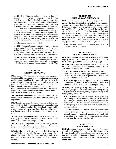<span id="page-18-0"></span>**304.18.1 Doors.** Doors providing access to a dwelling unit, rooming unit or housekeeping unit that is rented, leased or let shall be equipped with a deadbolt lock meeting specifications set forth herein. Such deadbolt locks shall be operated only by the turning of a knob or a key and shall have a lock throw of not less than 1-inch. For the purpose of this section, a sliding bolt shall not be considered an acceptable deadbolt lock. Such deadbolt locks shall be installed according to manufacturer's specifications and maintained in good working order. All deadbolt locks required by this section shall be designed and installed in such a manner so as to be operable inside of the dwelling unit, rooming unit or housekeeping unit without the use of a key, tool, combination thereof or any other special knowledge or effort.

**304.18.2 Windows.** Operable windows located in whole or in part within 6 feet (1828 mm) above ground level or a walking surface below that provide access to a dwelling unit, rooming unit or housekeeping unit that is rented, leased or let shall be equipped with a window sash locking devices.

**304.18.3 Basement hatchways.** Basement hatchways that provide access to a dwelling unit, rooming unit or housekeeping unit that is rented, leased or let shall be equipped with devices that secure the units from unauthorized entry.

#### **SECTION 305 INTERIOR STRUCTURE**

**305.1 General.** The interior of a structure and equipment therein shall be maintained in good repair, structurally sound and in a sanitary condition. Occupants shall keep that part of the structure which they occupy or control in a clean and sanitary condition. Every owner of a structure containing a rooming house, housekeeping units, a hotel, a dormitory, two or more dwelling units or two or more nonresidential occupancies, shall maintain, in a clean and sanitary condition, the shared or public areas of the structure and exterior property.

**305.2 Structural members.** All structural members shall be maintained structurally sound, and be capable of supporting the imposed loads.

**305.3 Interior surfaces.** All interior surfaces, including windows and doors, shall be maintained in good, clean and sanitary condition. Peeling, chipping, flaking or abraded paint shall be repaired, removed or covered. Cracked or loose plaster, decayed wood and other defective surface conditions shall be corrected.

**305.4 Stairs and walking surfaces.** Every stair, ramp, landing, balcony, porch, deck or other walking surface shall be maintained in sound condition and good repair.

**305.5 Handrails and guards.** Every handrail and guard shall be firmly fastened and capable of supporting normally imposed loads and shall be maintained in good condition.

**305.6 Interior doors.** Every interior door shall fit reasonably well within its frame and shall be capable of being opened and closed by being properly and securely attached to jambs, headers or tracks as intended by the manufacturer of the attachment hardware.

#### **SECTION 306 HANDRAILS AND GUARDRAILS**

**306.1 General.** Every exterior and interior flight of stairs having more than four risers shall have a handrail on one side of the stair and every open portion of a stair, landing, balcony, porch, deck, ramp or other walking surface which is more than 30 inches (762 mm) above the floor or grade below shall have guards. Handrails shall not be less than 30 inches (762 mm) high or more than 42 inches (1067 mm) high measured vertically above the nosing of the tread or above the finished floor of the landing or walking surfaces. Guards shall not be less than 30 inches (762 mm) high above the floor of the landing, balcony, porch, deck, or ramp or other walking surface.

**Exception:** Guards shall not be required where exempted by the adopted building code.

#### **SECTION 307 RUBBISH AND GARBAGE**

**307.1 Accumulation of rubbish or garbage.** All exterior property and premises, and the interior of every structure, shall be free from any accumulation of rubbish or garbage.

**307.2 Disposal of rubbish.** Every occupant of a structure shall dispose of all rubbish in a clean and sanitary manner by placing such rubbish in approved containers.

**307.2.1 Rubbish storage facilities.** The owner of every occupied premises shall supply approved covered containers for rubbish, and the owner of the premises shall be responsible for the removal of rubbish.

**307.2.2 Refrigerators.** Refrigerators and similar equipment not in operation shall not be discarded, abandoned or stored on premises without first removing the doors.

**307.3 Disposal of garbage.** Every occupant of a structure shall dispose of garbage in a clean and sanitary manner by placing such garbage in an approved garbage disposal facility or approved garbage containers.

**307.3.1 Garbage facilities.** The owner of every dwelling shall supply one of the following: an approved mechanical food waste grinder in each dwelling unit; an approved incinerator unit in the structure available to the occupants in each dwelling unit; or an approved leakproof, covered, outside garbage container.

**307.3.2 Containers.** The operator of every establishment producing garbage shall provide, and at all times cause to be utilized, approved leakproof containers provided with close-fitting covers for the storage of such materials until removed from the premises for disposal.

#### **SECTION 308 EXTERMINATION**

**308.1 Infestation.** All structures shall be kept free from insect and rodent infestation. All structures in which insects or rodents are found shall be promptly exterminated by approved processes that will not be injurious to human health. After extermination, proper precautions shall be taken to prevent reinfestation.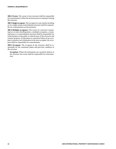**308.2 Owner.** The owner of any structure shall be responsible for extermination within the structure prior to renting or leasing the structure.

**308.3 Single occupant.** The occupant of a one-family dwelling or of a single-tenant nonresidential structure shall be responsible for extermination on the premises.

**308.4 Multiple occupancy.** The owner of a structure containing two or more dwelling units, a multiple occupancy, a rooming house or a nonresidential structure shall be responsible for extermination in the public or shared areas of the structure and exterior property. If infestation is caused by failure of an occupant to prevent such infestation in the area occupied, the occupant shall be responsible for extermination.

**308.5 Occupant.** The occupant of any structure shall be responsible for the continued rodent and pest-free condition of the structure.

**Exception:** Where the infestations are caused by defects in the structure, the owner shall be responsible for extermination.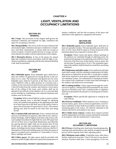#### **CHAPTER 4**

# **LIGHT, VENTILATION AND OCCUPANCY LIMITATIONS**

#### **SECTION 401 GENERAL**

<span id="page-20-0"></span>**401.1 Scope.** The provisions of this chapter shall govern the minimum conditions and standards for light, ventilation and space for occupying a structure.

**401.2 Responsibility.** The owner of the structure shall provide and maintain light, ventilation and space conditions in compliance with these requirements. A person shall not occupy as owner-occupant, or permit another person to occupy, any premises that do not comply with the requirements of this chapter.

**401.3 Alternative devices.** In lieu of the means for natural light and ventilation herein prescribed, artificial light or mechanical ventilation complying with the *International Building Code* shall be permitted.

#### **SECTION 402 LIGHT**

**402.1 Habitable spaces.** Every habitable space shall have at least one window of approved size facing directly to the outdoors or to a court. The minimum total glazed area for every habitable space shall be 8 percent of the floor area of such room. Wherever walls or other portions of a structure face a window of any room and such obstructions are located less than 3 feet (914 mm) from the window and extend to a level above that of the ceiling of the room, such window shall not be deemed to face directly to the outdoors nor to a court and shall not be included as contributing to the required minimum total window area for the room.

**Exception:** Where natural light for rooms or spaces without exterior glazing areas is provided through an adjoining room, the unobstructed opening to the adjoining room shall be at least 8 percent of the floor area of the interior room or space, but not less than 25 square feet  $(2.33 \text{ m}^2)$ . The exterior glazing area shall be based on the total floor area being served.

**402.2 Common halls and stairways.** Every common hall and stairway in residential occupancies, other than in one- and twofamily dwellings, shall be lighted at all times with at least a 60 watt standard incandescent light bulb for each 200 square feet (19 m2) of floor area or equivalent illumination, provided that the spacing between lights shall not be greater than 30 feet (9144 mm). In other than residential occupancies, means of egress, including exterior means of egress stairways shall be illuminated at all times the building space served by the means of egress is occupied with a minimum of 1 footcandle (11 lux) at floors, landings and treads.

**402.3 Other spaces.** All other spaces shall be provided with natural or artificial light sufficient to permit the maintenance of sanitary conditions, and the safe occupancy of the space and utilization of the appliances, equipment and fixtures.

#### **SECTION 403 VENTILATION**

**403.1 Habitable spaces.** Every habitable space shall have at least one openable window. The total openable area of the window in every room shall be equal to at least 45 percent of the minimum glazed area required in Section 402.1.

**Exception:** Where rooms and spaces without openings to the outdoors are ventilated through an adjoining room, the unobstructed opening to the adjoining room shall be at least 8 percent of the floor area of the interior room or space, but not less than 25 square feet  $(2.33 \text{ m}^2)$ . The ventilation openings to the outdoors shall be based on a total floor area being ventilated.

**403.2 Bathrooms and toilet rooms.** Every bathroom and toilet room shall comply with the ventilation requirements for habitable spaces as required by Section 403.1, except that a window shall not be required in such spaces equipped with a mechanical ventilation system. Air exhausted by a mechanical ventilation system from a bathroom or toilet room shall discharge to the outdoors and shall not be recirculated.

**403.3 Cooking facilities.** Unless approved through the certificate of occupancy, cooking shall not be permitted in any rooming unit or dormitory unit, and a cooking facility or appliance shall not be permitted to be present in a rooming unit or dormitory unit.

**Exception:** Where specifically approved in writing by the code official.

**403.4 Process ventilation.** Where injurious, toxic, irritating or noxious fumes, gases, dusts or mists are generated, a local exhaust ventilation system shall be provided to remove the contaminating agent at the source. Air shall be exhausted to the exterior and not be recirculated to any space.

**403.5 Clothes dryer exhaust.** Clothes dryer exhaust systems shall be independent of all other systems and shall be exhausted in accordance with the manufacturer's instructions.

#### **SECTION 404 OCCUPANCY LIMITATIONS**

**404.1 Privacy.** Dwelling units, hotel units, housekeeping units, rooming units and dormitory units shall be arranged to provide privacy and be separate from other adjoining spaces.

**404.2 Minimum room widths.** A habitable room, other than a kitchen, shall not be less than 7 feet (2134 mm) in any plan dimension. Kitchens shall have a clear passageway of not less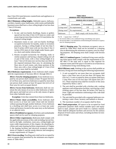<span id="page-21-0"></span>than 3 feet (914 mm) between counterfronts and appliances or counterfronts and walls.

**404.3 Minimum ceiling heights.** Habitable spaces, hallways, corridors, laundry areas, bathrooms, toilet rooms and habitable basement areas shall have a clear ceiling height of not less than 7 feet (2134 mm).

#### **Exceptions:**

- 1. In one- and two-family dwellings, beams or girders spaced not less than 4 feet (1219 mm) on center and projecting not more than 6 inches (152 mm) below the required ceiling height.
- 2. Basement rooms in one- and two-family dwellings occupied exclusively for laundry, study or recreation purposes, having a ceiling height of not less than 6 feet 8 inches (2033 mm) with not less than 6 feet 4 inches (1932 mm) of clear height under beams, girders, ducts and similar obstructions.
- 3. Rooms occupied exclusively for sleeping, study or similar purposes and having a sloped ceiling over all or part of the room, with a clear ceiling height of at least 7 feet (2134 mm) over not less than one-third of the required minimum floor area. In calculating the floor area of such rooms, only those portions of the floor area with a clear ceiling height of 5 feet (1524 mm) or more shall be included.

**404.4 Bedroom requirements.** Every bedroom shall comply with the requirements of Sections 404.4.1 through 404.4.5.

**404.4.1 Area for sleeping purposes.** Every bedroom occupied by one person shall contain at least 70 square feet (6.5 m<sup>2</sup>) of floor area, and every bedroom occupied by more than one person shall contain at least 50 square feet  $(4.6 \text{ m}^2)$  of floor area for each occupant thereof.

**404.4.2 Access from bedrooms.** Bedrooms shall not constitute the only means of access to other bedrooms or habitable spaces and shall not serve as the only means of egress from other habitable spaces.

**Exception:** Units that contain fewer than two bedrooms.

**404.4.3 Water closet accessibility.** Every bedroom shall have access to at least one water closet and one lavatory without passing through another bedroom. Every bedroom in a dwelling unit shall have access to at least one water closet and lavatory located in the same story as the bedroom or an adjacent story.

**404.4.4 Prohibited occupancy.** Kitchens and nonhabitable spaces shall not be used for sleeping purposes.

**404.4.5 Other requirements.** Bedrooms shall comply with the applicable provisions of this code including, but not limited to, the light, ventilation, room area, ceiling height and room width requirements of this chapter; the plumbing facilities and water-heating facilities requirements of Chapter 5; the heating facilities and electrical receptacle requirements of Chapter 6; and the smoke detector and emergency escape requirements of Chapter 7.

**404.5 Overcrowding.** Dwelling units shall not be occupied by more occupants than permitted by the minimum area requirements of Table 404.5.

| <b>MINIMUM AREA REQUIREMENTS</b> |                                    |               |                        |  |
|----------------------------------|------------------------------------|---------------|------------------------|--|
|                                  | <b>MINIMUM AREA IN SQUARE FEET</b> |               |                        |  |
| <b>SPACE</b>                     | 1-2 occupants                      | 3-5 occupants | 6 or more<br>occupants |  |
| Living room <sup>a,b</sup>       | No requirements                    | 120           | 150                    |  |
| Dining room <sup>a,b</sup>       | No requirements                    | 80            | 100                    |  |
|                                  |                                    |               |                        |  |

**TABLE 404.5 MINIMUM AREA REQUIREMENTS**

For SI: 1 square foot =  $0.093$  m<sup>2</sup>.

a. See Section 404.5.2 for combined living room/dining room spaces.

Bedrooms Shall comply with Section 404.4

b. See Section 404.5.1 for limitations on determining the minimum occupancy area for sleeping purposes.

**404.5.1 Sleeping area.** The minimum occupancy area required by Table 404.5 shall not be included as a sleeping area in determining the minimum occupancy area for sleeping purposes. All sleeping areas shall comply with Section 404.4.

**404.5.2 Combined spaces.** Combined living room and dining room spaces shall comply with the requirements of Table 404.5 if the total area is equal to that required for separate rooms and if the space is located so as to function as a combination living room/dining room.

**404.6 Efficiency unit.** Nothing in this section shall prohibit an efficiency living unit from meeting the following requirements:

- 1. A unit occupied by not more than two occupants shall have a clear floor area of not less than 220 square feet  $(20.4 \text{ m}^2)$ . A unit occupied by three occupants shall have a clear floor area of not less than 320 square feet (29.7 m<sup>2</sup>). These required areas shall be exclusive of the areas required by Items 2 and 3.
- 2. The unit shall be provided with a kitchen sink, cooking appliance and refrigeration facilities, each having a clear working space of not less than 30 inches (762 mm) in front. Light and ventilation conforming to this code shall be provided.
- 3. The unit shall be provided with a separate bathroom containing a water closet, lavatory and bathtub or shower.
- 4. The maximum number of occupants shall be three.

**404.7 Food preparation.** All spaces to be occupied for food preparation purposes shall contain suitable space and equipment to store, prepare and serve foods in a sanitary manner. There shall be adequate facilities and services for the sanitary disposal of food wastes and refuse, including facilities for temporary storage.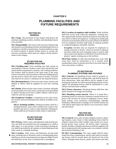#### **CHAPTER 5**

# **PLUMBING FACILITIES AND FIXTURE REQUIREMENTS**

#### **SECTION 501 GENERAL**

<span id="page-22-0"></span>**501.1 Scope.** The provisions of this chapter shall govern the minimum plumbing systems, facilities and plumbing fixtures to be provided.

**501.2 Responsibility.** The owner of the structure shall provide and maintain such plumbing facilities and plumbing fixtures in compliance with these requirements. A person shall not occupy as owner-occupant or permit another person to occupy any structure or premises which does not comply with the requirements of this chapter.

#### **[P] SECTION 502 REQUIRED FACILITIES**

**502.1 Dwelling units.** Every dwelling unit shall contain its own bathtub or shower, lavatory, water closet and kitchen sink which shall be maintained in a sanitary, safe working condition. The lavatory shall be placed in the same room as the water closet or located in close proximity to the door leading directly into the room in which such water closet is located. A kitchen sink shall not be used as a substitute for the required lavatory.

**502.2 Rooming houses.** At least one water closet, lavatory and bathtub or shower shall be supplied for each four rooming units.

**502.3 Hotels.** Where private water closets, lavatories and baths are not provided, one water closet, one lavatory and one bathtub or shower having access from a public hallway shall be provided for each ten occupants.

**502.4 Employees' facilities.** A minimum of one water closet, one lavatory and one drinking facility shall be available to employees.

**502.4.1 Drinking facilities.** Drinking facilities shall be a drinking fountain, water cooler, bottled water cooler or disposable cups next to a sink or water dispenser. Drinking facilities shall not be located in toilet rooms or bathrooms.

#### **[P] SECTION 503 TOILET ROOMS**

**503.1 Privacy.** Toilet rooms and bathrooms shall provide privacy and shall not constitute the only passageway to a hall or other space, or to the exterior. A door and interior locking device shall be provided for all common or shared bathrooms and toilet rooms in a multiple dwelling.

**503.2 Location.** Toilet rooms and bathrooms serving hotel units, rooming units or dormitory units or housekeeping units, п shall have access by traversing not more than one flight of stairs and shall have access from a common hall or passageway.

**2003 INTERNATIONAL PROPERTY MAINTENANCE CODE® 15**

**503.3 Location of employee toilet facilities.** Toilet facilities shall have access from within the employees' working area. The required toilet facilities shall be located not more than one story above or below the employees'working area and the path of travel to such facilities shall not exceed a distance of 500 feet (152 m). Employee facilities shall either be separate facilities or combined employee and public facilities.

**Exception:** Facilities that are required for employees in storage structures or kiosks, which are located in adjacent structures under the same ownership, lease or control, shall not exceed a travel distance of 500 feet (152 m) from the employees' regular working area to the facilities.

**503.4 Floor surface.** In other than dwelling units, every toilet room floor shall be maintained to be a smooth, hard, nonabsorbent surface to permit such floor to be easily kept in a clean and sanitary condition.

#### **[P] SECTION 504 PLUMBING SYSTEMS AND FIXTURES**

**504.1 General.** All plumbing fixtures shall be properly installed and maintained in working order, and shall be kept free from obstructions, leaks and defects and be capable of performing the function for which such plumbing fixtures are designed. All plumbing fixtures shall be maintained in a safe, sanitary and functional condition.

**504.2 Fixture clearances.** Plumbing fixtures shall have adequate clearances for usage and cleaning.

**504.3 Plumbing system hazards.** Where it is found that a plumbing system in a structure constitutes a hazard to the occupants or the structure by reason of inadequate service, inadequate venting, cross connection, backsiphonage, improper installation, deterioration or damage or for similar reasons, the code official shall require the defects to be corrected to eliminate the hazard.

#### **SECTION 505 WATER SYSTEM**

**505.1 General.** Every sink, lavatory, bathtub or shower, drinking fountain, water closet or other plumbing fixture shall be properly connected to either a public water system or to an approved private water system. All kitchen sinks, lavatories, laundry facilities, bathtubs and showers shall be supplied with hot or tempered and cold running water in accordance with the *International Plumbing Code*.

**[P] 505.2 Contamination.** The water supply shall be maintained free from contamination, and all water inlets for plumbing fixtures shall be located above the flood-level rim of the fixture. Shampoo basin faucets, janitor sink faucets and other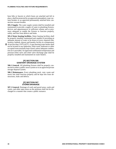<span id="page-23-0"></span>hose bibs or faucets to which hoses are attached and left in place, shall be protected by an approved atmospheric-type vacuum breaker or an approved permanently attached hose connection vacuum breaker.

**505.3 Supply.** The water supply system shall be installed and maintained to provide a supply of water to plumbing fixtures, devices and appurtenances in sufficient volume and at pressures adequate to enable the fixtures to function properly, safely, and free from defects and leaks.

**505.4 Water heating facilities.** Water heating facilities shall be properly installed, maintained and capable of providing an adequate amount of water to be drawn at every required sink, lavatory, bathtub, shower and laundry facility at a temperature of not less than 110°F (43°C). A gas-burning water heater shall

П not be located in any bathroom, toilet room, bedroom or other occupied room normally kept closed, unless adequate combustion air is provided. An approved combination temperature and pressure-relief valve and relief valve discharge pipe shall be properly installed and maintained on water heaters.

#### **[P] SECTION 506 SANITARY DRAINAGE SYSTEM**

**506.1 General.** All plumbing fixtures shall be properly connected to either a public sewer system or to an approved private sewage disposal system.

**506.2 Maintenance.** Every plumbing stack, vent, waste and sewer line shall function properly and be kept free from obstructions, leaks and defects.

#### **[P] SECTION 507 STORM DRAINAGE**

**507.1 General.** Drainage of roofs and paved areas, yards and courts, and other open areas on the premises shall not be discharged in a manner that creates a public nuisance.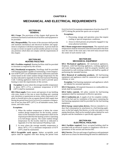#### **CHAPTER 6**

# <span id="page-24-0"></span>**MECHANICAL AND ELECTRICAL REQUIREMENTS**

#### **SECTION 601 GENERAL**

**601.1 Scope.** The provisions of this chapter shall govern the minimum mechanical and electrical facilities and equipment to be provided.

**601.2 Responsibility.** The owner of the structure shall provide and maintain mechanical and electrical facilities and equipment in compliance with these requirements. A person shall not occupy as owner-occupant or permit another person to occupy any premises which does not comply with the requirements of this chapter.

#### **SECTION 602 HEATING FACILITIES**

**602.1 Facilities required.** Heating facilities shall be provided in structures as required by this section.

**602.2 Residential occupancies.** Dwellings shall be provided with heating facilities capable of maintaining a room tempera-■ ture of  $68^{\circ}F(20^{\circ}C)$  in all habitable rooms, bathrooms and toilet rooms based on the winter outdoor design temperature for the locality indicated in Appendix D of the *International Plumbing Code*. Cooking appliances shall not be used to provide space heating to meet the requirements of this section.

**Exception:** In areas where the average monthly temperature is above 30°F (-1°C), a minimum temperature of 65°F (18°C) shall be maintained.

**602.3 Heat supply.** Every owner and operator of any building who rents, leases or lets one or more dwelling unit, rooming unit, dormitory or guestroom on terms, either expressed or implied, to furnish heat to the occupants thereof shall supply heat during the period from [DATE] to [DATE] to maintain a temperature of not less than 68°F (20°C) in all habitable rooms, bathrooms, and toilet rooms.

#### **Exceptions:**

- 1. When the outdoor temperature is below the winter outdoor design temperature for the locality, maintenance of the minimum room temperature shall not be required provided that the heating system is operating at its full design capacity. The winter outdoor design temperature for the locality shall be as indicated in Appendix D of the *International Plumbing Code*.
- 2. In areas where the average monthly temperature is above 30 $\mathrm{^{\circ}F}$  (-1 $\mathrm{^{\circ}C}$ ) a minimum temperature of 65 $\mathrm{^{\circ}F}$ (18°C) shall be maintained.

**602.4 Occupiable work spaces.** Indoor occupiable work spaces shall be supplied with heat during the period from [DATE] to [DATE] to maintain a temperature of not less than 65°F (18°C) during the period the spaces are occupied.

#### **Exceptions:**

- 1. Processing, storage and operation areas that require cooling or special temperature conditions.
- 2. Areas in which persons are primarily engaged in vigorous physical activities.

**602.5 Room temperature measurement.** The required room temperatures shall be measured 3 feet (914 mm) above the floor near the center of the room and 2 feet (610 mm) inward from the center of each exterior wall.

#### **SECTION 603 MECHANICAL EQUIPMENT**

**603.1 Mechanical appliances.** All mechanical appliances, fireplaces, solid fuel-burning appliances, cooking appliances and water heating appliances shall be properly installed and maintained in a safe working condition, and shall be capable of performing the intended function.

**603.2 Removal of combustion products.** All fuel-burning equipment and appliances shall be connected to an approved chimney or vent.

**Exception:** Fuel-burning equipment and appliances which are labeled for unvented operation.

**603.3 Clearances.** All required clearances to combustible materials shall be maintained.

**603.4 Safety controls.** All safety controls for fuel-burning equipment shall be maintained in effective operation.

**603.5 Combustion air.** A supply of air for complete combustion of the fuel and for ventilation of the space containing the fuel-burning equipment shall be provided for the fuel-burning equipment.

**603.6 Energy conservation devices.** Devices intended to reduce fuel consumption by attachment to a fuel-burning appliance, to the fuel supply line thereto, or to the vent outlet or vent piping therefrom, shall not be installed unless labeled for such purpose and the installation is specifically approved.

#### **SECTION 604 ELECTRICAL FACILITIES**

**604.1 Facilities required.** Every occupied building shall be provided with an electrical system in compliance with the requirements of this section and Section 605.

**604.2 Service.** The size and usage of appliances and equipment shall serve as a basis for determining the need for additional fa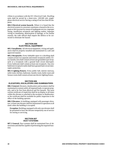<span id="page-25-0"></span>cilities in accordance with the ICC *Electrical Code*. Dwelling units shall be served by a three-wire, 120/240 volt, singlephase electrical service having a rating of not less than 60 amperes.

**604.3 Electrical system hazards.** Where it is found that the electrical system in a structure constitutes a hazard to the occupants or the structure by reason of inadequate service, improper fusing, insufficient receptacle and lighting outlets, improper wiring or installation, deterioration or damage, or for similar reasons, the code official shall require the defects to be corrected to eliminate the hazard.

#### **SECTION 605 ELECTRICAL EQUIPMENT**

**605.1 Installation.** All electrical equipment, wiring and appliances shall be properly installed and maintained in a safe and approved manner.

**605.2 Receptacles.** Every habitable space in a dwelling shall contain at least two separate and remote receptacle outlets. Every laundry area shall contain at least one grounded-type receptacle or a receptacle with a ground fault circuit interrupter. Every bathroom shall contain at least one receptacle. Any new bathroom receptacle outlet shall have ground fault circuit interrupter protection.

**605.3 Lighting fixtures.** Every public hall, interior stairway, toilet room, kitchen, bathroom, laundry room, boiler room and furnace room shall contain at least one electric lighting fixture.

#### **SECTION 606 ELEVATORS, ESCALATORS AND DUMBWAITERS**

**606.1 General.** Elevators, dumbwaiters and escalators shall be maintained to sustain safely all imposed loads, to operate properly, and to be free from physical and fire hazards. The most current certificate of inspection shall be on display at all times within the elevator or attached to the escalator or dumbwaiter; or the certificate shall be available for public inspection in the office of the building operator.

**606.2 Elevators.** In buildings equipped with passenger elevators, at least one elevator shall be maintained in operation at all times when the building is occupied.

**Exception:**Buildings equipped with only one elevator shall be permitted to have the elevator temporarily out of service for testing or servicing.

#### **SECTION 607 DUCT SYSTEMS**

**607.1 General.** Duct systems shall be maintained free of obstructions and shall be capable of performing the required function.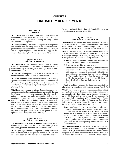# **CHAPTER 7 FIRE SAFETY REQUIREMENTS**

#### **SECTION 701 GENERAL**

<span id="page-26-0"></span>**701.1 Scope.** The provisions of this chapter shall govern the minimum conditions and standards for fire safety relating to structures and exterior premises, including fire safety facilities and equipment to be provided.

**701.2 Responsibility.** The owner of the premises shall provide and maintain such fire safety facilities and equipment in compliance with these requirements. A person shall not occupy as owner-occupant or permit another person to occupy any premises that do not comply with the requirements of this chapter.

#### **[F] SECTION 702 MEANS OF EGRESS**

**702.1 General.** A safe, continuous and unobstructed path of travel shall be provided from any point in a building or structure to the public way. Means of egress shall comply with the *International Fire Code.*

**702.2 Aisles.** The required width of aisles in accordance with the *International Fire Code* shall be unobstructed.

**702.3 Locked doors.** All means of egress doors shall be readily openable from the side from which egress is to be made without the need for keys, special knowledge or effort, except where the door hardware conforms to that permitted by the *International Building Code*.

**702.4 Emergency escape openings.** Required emergency escape openings shall be maintained in accordance with the code in effect at the time of construction, and the following. Required emergency escape and rescue openings shall be operational from the inside of the room without the use of keys or tools. Bars, grilles, grates or similar devices are permitted to be placed over emergency escape and rescue openings provided the minimum net clear opening size complies with the code that was in effect at the time of construction and such devices shall be releasable or removable from the inside without the use of a key, tool or force greater than that which is required for normal operation of the escape and rescue opening. ➡

#### **[F] SECTION 703 FIRE-RESISTANCE RATINGS**

**703.1 Fire-resistance-rated assemblies.** The required fire-resistance rating of fire-resistance-rated walls, fire stops, shaft enclosures, partitions and floors shall be maintained.

**703.2 Opening protectives.** Required opening protectives shall be maintained in an operative condition. All fire and smokestop doors shall be maintained in operable condition.

Fire doors and smoke barrier doors shall not be blocked or obstructed or otherwise made inoperable.

#### **[F] SECTION 704 FIRE PROTECTION SYSTEMS**

**704.1 General.** All systems, devices and equipment to detect a fire, actuate an alarm, or suppress or control a fire or any combination thereof shall be maintained in an operable condition at all times in accordance with the *International Fire Code*.

**704.2 Smoke alarms.** Single or multiple-station smoke alarms shall be installed and maintained in Groups R-2, R-3, R-4 and in dwellings not regulated in Group R occupancies, regardless of occupant load at all of the following locations:

- 1. On the ceiling or wall outside of each separate sleeping area in the immediate vicinity of bedrooms.
- 2. In each room use d for sleeping purposes.
- 3. In each story within a dwelling unit, including basements and cellars but not including crawl spaces and uninhabitable attics. In dwellings or dwelling units with split levels and without an intervening door between the adjacent levels, a smoke alarm installed on the upper level shall suffice for the adjacent lower level provided that the lower level is less than one full story below the upper level.

Single or multiple-station smoke alarms shall be installed in other groups in accordance with the *International Fire Code*.

**704.3 Power source.** In Group R occupancies and in dwellings not regulated as Group R occupancies, single-station smoke alarms shall receive their primary power from the building wiring provided that such wiring is served from a commercial source and shall be equipped with a battery backup. Smoke alarms shall emit a signal when the batteries are low. Wiring shall be permanent and without a disconnecting switch other than as required for overcurrent protection.

**Exception:** Smoke alarms are permitted to be solely battery operated in buildings where no construction is taking place, buildings that are not served from a commercial power source and in existing areas of buildings undergoing alterations or repairs that do not result in the removal of interior wall or ceiling finishes exposing the structure, unless there is an attic, crawl space or basement available which could provide access for building wiring without the removal of interior finishes.

**704.4 Interconnection.** Where more than one smoke alarm is required to be installed within an individual dwelling unit in Group R-2, R-3, R-4 and in dwellings not regulated as Group R occupancies, the smoke alarms shall be interconnected in such a manner that the activation of one alarm will activate all of the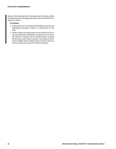alarms in the individual unit. The alarm shall be clearly audible in all bedrooms over background noise levels with all intervening doors closed.

#### **Exceptions:**

- 1. Interconnection is not required in buildings which are not undergoing alterations, repairs, or construction of any kind.
- 2. Smoke alarms in existing areas are not required to be interconnected where alterations or repairs do not result in the removal of interior wall or ceiling finishes exposing the structure, unless there is an attic, crawl space or basement available which could provide access for interconnection without the removal of interior finishes.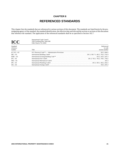# **CHAPTER 8 REFERENCED STANDARDS**

<span id="page-28-0"></span>This chapter lists the standards that are referenced in various sections of this document. The standards are listed herein by the promulgating agency of the standard, the standard identification, the effective date and title and the section or sections of this document that reference the standard. The application of the referenced standards shall be as specified in Section 102.7.

| <b>ICC</b>                      | International Code Council<br>5203 Leesburg Pike, Suite 600<br>Falls Church, VA 22041                                                                                                                                                                                                                          |                                         |
|---------------------------------|----------------------------------------------------------------------------------------------------------------------------------------------------------------------------------------------------------------------------------------------------------------------------------------------------------------|-----------------------------------------|
| Standard<br>reference<br>number | Title                                                                                                                                                                                                                                                                                                          | Referenced<br>in code<br>section number |
| ICC~EC—03                       |                                                                                                                                                                                                                                                                                                                |                                         |
| $IRC = 03$                      |                                                                                                                                                                                                                                                                                                                |                                         |
| $IEBC = 03$                     |                                                                                                                                                                                                                                                                                                                |                                         |
| IFC—03                          |                                                                                                                                                                                                                                                                                                                |                                         |
| $IMC - 03$                      |                                                                                                                                                                                                                                                                                                                |                                         |
| $IPC$ —03                       |                                                                                                                                                                                                                                                                                                                |                                         |
| $IZC - 03$                      | International Zoning Code $\& \ldots \& \ldots \& \ldots \& \ldots \& \ldots \& \ldots \& \ldots \& \ldots \& \ldots \& \ldots \& \ldots \& \ldots \& \ldots \& \ldots \& \ldots \& \ldots \& \ldots \& \ldots \& \ldots \& \ldots \& \ldots \& \ldots \& \ldots \& \ldots \& \ldots \& \ldots \& \ldots \& \$ |                                         |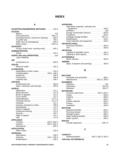# **INDEX**

# **A**

<span id="page-30-0"></span>

| <b>ACCEPTED ENGINEERING METHODS 104.2</b>   |  |
|---------------------------------------------|--|
| <b>ACCESS</b>                               |  |
| Egress702                                   |  |
| From bedrooms 404.4.2                       |  |
| Plumbing fixtures, access for cleaning504.2 |  |
| Toilet room as passageway 503.1             |  |
|                                             |  |
| <b>ADJACENT</b>                             |  |
| Privacy (hotel units, rooming units) 404.1  |  |
| <b>ADMINISTRATION</b>                       |  |
|                                             |  |
| AGENT (See also OPERATOR) 202               |  |
| (See OWNER)                                 |  |
| <b>AIR</b>                                  |  |
| Combustion air 603.5                        |  |
| <b>AISLES</b>                               |  |
|                                             |  |
| <b>ALTERATION</b>                           |  |
| Applicability of other codes. 102.3         |  |
| Condemnation108.1, 108.2                    |  |
|                                             |  |
|                                             |  |
|                                             |  |
| <b>ANCHOR</b>                               |  |
|                                             |  |
| Signs, marquees and awnings 304.9           |  |
| <b>APPEAL</b>                               |  |
|                                             |  |
|                                             |  |
|                                             |  |
|                                             |  |
| Financial interest111.2.3                   |  |
|                                             |  |
| Hearing, emergency orders 109.6             |  |
|                                             |  |
|                                             |  |
| Postponed hearing111.5                      |  |
|                                             |  |
| Right to appeal111.1                        |  |
|                                             |  |
| <b>APPLIANCE</b>                            |  |
| Heating  602.2, 603.1                       |  |
| Mechanical603.1                             |  |
| <b>APPLICATION</b>                          |  |
|                                             |  |
| <b>APPROVAL</b>                             |  |
|                                             |  |
|                                             |  |
| Modifications 105.1                         |  |
|                                             |  |

# **B**

| <b>BALCONY</b>                 |
|--------------------------------|
| Handrails and guardrails 306.1 |
| Maintenance 304.12, 305.5      |
| <b>BASEMENT</b>                |
|                                |
|                                |
|                                |
| <b>BATHROOM</b>                |
| Common bathrooms 502.3, 503.1  |
|                                |
|                                |
|                                |
|                                |
|                                |
|                                |
| <b>BATHTUB</b>                 |
| Required facilities502.1       |
|                                |
|                                |
| Water heating facilities 505.4 |
|                                |
| <b>BOILER</b>                  |
| Unsafe equipment 108.1.2       |
|                                |

# **C**

| <b>CAPACITY</b>   |
|-------------------|
| Heating facilitie |

| <u>UAFAVIII</u>                        |  |  |
|----------------------------------------|--|--|
| Heating facilities 602.2, 602.3, 602.4 |  |  |
| <b>CAR (See AUTOMOBILE)</b>            |  |  |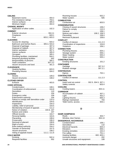| <b>CEILING</b>                                |  |
|-----------------------------------------------|--|
|                                               |  |
| Fire-resistance ratings 703.1                 |  |
|                                               |  |
|                                               |  |
| <b>CHANGE, MODIFY</b>                         |  |
| Application of other codes 102.3              |  |
| <b>CHIMNEY</b>                                |  |
|                                               |  |
|                                               |  |
|                                               |  |
| <b>CLEANING</b>                               |  |
| Access for cleaning 504.2                     |  |
| Bathroom and kitchen floors 305.3, 503.4      |  |
| Disposal of garbage 307.3                     |  |
|                                               |  |
|                                               |  |
|                                               |  |
| Plumbing facilities, maintained504.1          |  |
| Required plumbing facilities 502              |  |
| Responsibility of persons 305.1               |  |
|                                               |  |
| Vacant structures and land301.3               |  |
| <b>CLEARANCE</b>                              |  |
|                                               |  |
|                                               |  |
| <b>CLOSING</b>                                |  |
|                                               |  |
|                                               |  |
| <b>CLOTHES DRYER</b>                          |  |
| Exhaust  403.5                                |  |
| <b>CODE OFFICIAL</b>                          |  |
|                                               |  |
| Coordination of enforcement  104.8            |  |
|                                               |  |
|                                               |  |
|                                               |  |
| Enforcement authority 104                     |  |
| Failure to comply with demolition order 110.3 |  |
|                                               |  |
| Inspections 104.3                             |  |
| Liability, relief of personal 103.5           |  |
| Membership of board of appeals 111.2          |  |
| Notice of violation 104.6, 107                |  |
| Notices and orders 107                        |  |
|                                               |  |
|                                               |  |
| Placarding 108.4                              |  |
|                                               |  |
|                                               |  |
| Rule-making authority 104.2                   |  |
| Transfer of ownership 107.5                   |  |
|                                               |  |
| Voting of appeals board. 111.2, 111.6         |  |
| <b>COLD WATER</b>                             |  |
|                                               |  |
|                                               |  |

| <b>COMBUSTION</b><br>Combustion air 603.5       |  |
|-------------------------------------------------|--|
| <b>CONDEMNATION</b>                             |  |
| Closing of vacant structures 108.2              |  |
| Failure to comply 110.3                         |  |
|                                                 |  |
| Notices and orders 108.2, 108.3                 |  |
|                                                 |  |
| <b>CONFLICT</b>                                 |  |
| Conflict of interest 111.2.3                    |  |
| Coordination of inspections  104.8              |  |
|                                                 |  |
| <b>CONNECTION</b>                               |  |
|                                                 |  |
|                                                 |  |
| Water heating505.4                              |  |
|                                                 |  |
| <b>CONSTRUCTION</b>                             |  |
| <b>CONTAINER</b>                                |  |
|                                                 |  |
|                                                 |  |
| <b>CONTINUOUS</b>                               |  |
|                                                 |  |
| <b>CONTRACTOR</b>                               |  |
| Conflict of interest 111.2.3                    |  |
| <b>CONTROL</b>                                  |  |
| Insect and rat control 302.5, 304.5, 307.1      |  |
|                                                 |  |
| <b>COOLING</b>                                  |  |
|                                                 |  |
| <b>CORRIDOR</b><br>Accumulation of rubbish307.1 |  |
|                                                 |  |
|                                                 |  |
|                                                 |  |
| Toilet rooms, access. 503.1                     |  |
|                                                 |  |

## **D**

#### **DAMP, DAMPNESS**

| Window, door frames 304.13          |  |
|-------------------------------------|--|
| <b>DANGEROUS, HAZARDOUS</b>         |  |
|                                     |  |
|                                     |  |
| Electrical hazards 604.3            |  |
|                                     |  |
| Existing remedies102.4              |  |
|                                     |  |
| Heating facilities 602, 603.1       |  |
|                                     |  |
| Unsafe structures and equipment 108 |  |
|                                     |  |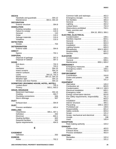| <b>DECKS</b>                            |
|-----------------------------------------|
| Handrails and guardrails 304.12         |
| Maintenance  304.2, 304.10              |
| <b>DECORATION</b>                       |
|                                         |
| <b>DEMOLITION</b>                       |
|                                         |
| Existing remedies102.4                  |
| Failure to comply 110.3                 |
|                                         |
|                                         |
|                                         |
|                                         |
| <b>DETECTORS</b>                        |
|                                         |
| <b>DETERIORATION</b>                    |
|                                         |
|                                         |
| <b>DIRECT</b>                           |
|                                         |
| <b>DISPOSAL</b>                         |
| Disposal of garbage 307.3               |
|                                         |
| <b>DOOR</b>                             |
|                                         |
| Fire703.2                               |
| Hardware  304.15                        |
|                                         |
|                                         |
|                                         |
| Locks304.15, 702.3                      |
| Maintenance 304.13, 304.15              |
|                                         |
| Window and door frames 304.13           |
| DORMITORY (ROOMING HOUSE, HOTEL, MOTEL) |
|                                         |
|                                         |
| <b>DRAIN, DRAINAGE</b>                  |
| Basement hatchways 304.16               |
|                                         |
| Plumbing connections 506                |
| Storm drainage 507                      |
|                                         |
| <b>DUCT</b>                             |
|                                         |
| <b>DUST</b>                             |
|                                         |
| <b>DWELLING</b>                         |
|                                         |
|                                         |
|                                         |
| Heating facilities  602                 |
| Required facilities 502                 |
| Space requirements 404.5                |
|                                         |
|                                         |
|                                         |

# **E**

## **EASEMENT**

| <b>EGRESS</b> |  |  |
|---------------|--|--|
|               |  |  |

|                 | Common halls and stairways 402.2<br>General702.1<br>Obstructions prohibited 702.1<br>Stairs, porches and                                                                                                                                                                                           |  |
|-----------------|----------------------------------------------------------------------------------------------------------------------------------------------------------------------------------------------------------------------------------------------------------------------------------------------------|--|
|                 | railings. 304.10, 305.5, 306.1<br><b>ELECTRIC, ELECTRICAL</b>                                                                                                                                                                                                                                      |  |
|                 | General601.1<br>Hazards 604.3<br>Responsibility601.2                                                                                                                                                                                                                                               |  |
|                 | <b>ELEVATOR</b>                                                                                                                                                                                                                                                                                    |  |
|                 | General606.1<br>Maintenance  606.1, 606.2<br><b>EMERGENCY</b>                                                                                                                                                                                                                                      |  |
|                 |                                                                                                                                                                                                                                                                                                    |  |
|                 | Escape702.4                                                                                                                                                                                                                                                                                        |  |
|                 | <b>ENFORCEMENT</b><br>Coordination104.8                                                                                                                                                                                                                                                            |  |
|                 | <b>EQUIPMENT</b>                                                                                                                                                                                                                                                                                   |  |
|                 | Alternative  105.2<br>Combustion air 603.5<br>Condemnation 108.1.2, 108.3<br>Electrical installation. 605.1<br>Energy conservation devices 603.6<br>Fire safety requirements, responsibility 701.2<br>Flue<br>Interior structure305.1<br>Prohibited use 108.5<br>Responsibility601.2<br>Scope101.2 |  |
|                 | Scope, mechanical and electrical 601.1<br>Used105.4                                                                                                                                                                                                                                                |  |
|                 | <b>EXCEPTION</b>                                                                                                                                                                                                                                                                                   |  |
|                 | Rule-making authority  104.2                                                                                                                                                                                                                                                                       |  |
| <b>EXHAUST</b>  |                                                                                                                                                                                                                                                                                                    |  |
| <b>EXISTING</b> | Remedies102.4                                                                                                                                                                                                                                                                                      |  |
|                 | Scope101.2                                                                                                                                                                                                                                                                                         |  |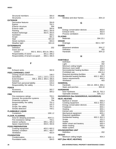Structural members . . . . . . . . . . . . . . . . . . [304.4](#page-17-0) Structures. . . . . . . . . . . . . . . . . . . . . . . . . . . [101.3](#page-8-0)

## **EXTERIOR**

| Decorative features 304.8            |
|--------------------------------------|
|                                      |
| Exterior structure304                |
|                                      |
|                                      |
| Rodent harborage 302.5, 303.5        |
|                                      |
| Scope301.1                           |
|                                      |
|                                      |
|                                      |
| <b>EXTERMINATE</b>                   |
|                                      |
| Insect and rat                       |
| control 302.5, 303.5, 303.14, 306.1  |
| Responsibility of owner 301.2, 306.2 |

# **F**

Responsibility of tenant-occupant . . [. 306.3, 306.5](#page-18-0)

| <b>FAN</b>                                |  |
|-------------------------------------------|--|
| Exhaust vents302.6                        |  |
| FEES, EXPENSES, COST                      |  |
| Closing vacant structures 108.2           |  |
| Demolition  110.1, 110.3, 110.4           |  |
| Extermination  306.2, 306.3, 306.4, 306.5 |  |
|                                           |  |
| Relief from personal liability 103.4      |  |
| Responsibility, fire safety 701.2         |  |
| <b>FENCE</b>                              |  |
|                                           |  |
|                                           |  |
| <b>FIRE</b>                               |  |
| Fire-resistance ratings 703.1             |  |
| General, fire-protection systems 704      |  |
|                                           |  |
| Responsibility, fire safety 701.2         |  |
|                                           |  |
|                                           |  |
|                                           |  |
| <b>FLAMMABLE LIQUID</b>                   |  |
| Containers 108.1.2                        |  |
| <b>FLOOR, FLOORING</b>                    |  |
| Area for sleeping purposes 404.5.1        |  |
| Fire-resistance ratings 703.1             |  |
| Interior surfaces. 305.1, 305.3           |  |
| Space requirements 404.5, 404.6           |  |
| <b>FOOD PREPARATION</b>                   |  |
| Cooking equipment 403.3, 602.2            |  |
| Sanitary condition 305.1, 404.7           |  |
|                                           |  |
| <b>FOUNDATION</b>                         |  |
| Condemnation 108.1.1                      |  |
|                                           |  |

#### **FRAME**

...<u>..</u><br>Window and door frames . . . . . . . . . . . . . [304.13](#page-17-0)

# **G**

| Energy conservation devices 603.6 |
|-----------------------------------|
|                                   |
|                                   |
|                                   |
|                                   |
|                                   |
|                                   |
| Drainage302.2, 507                |
|                                   |
| Basement windows 304.17           |
|                                   |
|                                   |
|                                   |

# **H**

| Minimum ceiling height. 404.3<br>Minimum room width 404.2<br>Nonresidential heating facilities 602.4<br>Required plumbing facilities 502<br>Residential heating facilities  602.2, 602.3<br>Space requirements 404.5<br><b>HANDRAIL</b><br>Handrails 304.12, 305.5, 306.1<br>Stairs and porches 304.10<br><b>HARDWARE</b><br>Door hardware. 304.15, 702.3<br>Openable windows  304.13.2<br>HAZARDOUS (See DANGEROUS, HAZARDOUS)<br><b>HEAT, HEATING</b><br>Bathtub or shower 505.4<br>Cooking equipment 403.3, 602.2<br>Energy conservation devices 603.6<br>Mechanical equipment 603.1<br>Residential heating 602.2, 602.3<br>Water closet and lavatory505.4<br>Water heating505.4<br><b>HOUSEKEEPING UNIT</b><br><b>HEIGHT</b><br>Minimum ceiling height404.3 | <b>HABITABLE</b>               |
|-----------------------------------------------------------------------------------------------------------------------------------------------------------------------------------------------------------------------------------------------------------------------------------------------------------------------------------------------------------------------------------------------------------------------------------------------------------------------------------------------------------------------------------------------------------------------------------------------------------------------------------------------------------------------------------------------------------------------------------------------------------------|--------------------------------|
|                                                                                                                                                                                                                                                                                                                                                                                                                                                                                                                                                                                                                                                                                                                                                                 |                                |
|                                                                                                                                                                                                                                                                                                                                                                                                                                                                                                                                                                                                                                                                                                                                                                 |                                |
|                                                                                                                                                                                                                                                                                                                                                                                                                                                                                                                                                                                                                                                                                                                                                                 |                                |
|                                                                                                                                                                                                                                                                                                                                                                                                                                                                                                                                                                                                                                                                                                                                                                 |                                |
|                                                                                                                                                                                                                                                                                                                                                                                                                                                                                                                                                                                                                                                                                                                                                                 |                                |
|                                                                                                                                                                                                                                                                                                                                                                                                                                                                                                                                                                                                                                                                                                                                                                 |                                |
|                                                                                                                                                                                                                                                                                                                                                                                                                                                                                                                                                                                                                                                                                                                                                                 |                                |
|                                                                                                                                                                                                                                                                                                                                                                                                                                                                                                                                                                                                                                                                                                                                                                 |                                |
|                                                                                                                                                                                                                                                                                                                                                                                                                                                                                                                                                                                                                                                                                                                                                                 |                                |
|                                                                                                                                                                                                                                                                                                                                                                                                                                                                                                                                                                                                                                                                                                                                                                 |                                |
|                                                                                                                                                                                                                                                                                                                                                                                                                                                                                                                                                                                                                                                                                                                                                                 |                                |
|                                                                                                                                                                                                                                                                                                                                                                                                                                                                                                                                                                                                                                                                                                                                                                 |                                |
|                                                                                                                                                                                                                                                                                                                                                                                                                                                                                                                                                                                                                                                                                                                                                                 |                                |
|                                                                                                                                                                                                                                                                                                                                                                                                                                                                                                                                                                                                                                                                                                                                                                 |                                |
|                                                                                                                                                                                                                                                                                                                                                                                                                                                                                                                                                                                                                                                                                                                                                                 |                                |
|                                                                                                                                                                                                                                                                                                                                                                                                                                                                                                                                                                                                                                                                                                                                                                 |                                |
|                                                                                                                                                                                                                                                                                                                                                                                                                                                                                                                                                                                                                                                                                                                                                                 |                                |
|                                                                                                                                                                                                                                                                                                                                                                                                                                                                                                                                                                                                                                                                                                                                                                 |                                |
|                                                                                                                                                                                                                                                                                                                                                                                                                                                                                                                                                                                                                                                                                                                                                                 |                                |
|                                                                                                                                                                                                                                                                                                                                                                                                                                                                                                                                                                                                                                                                                                                                                                 |                                |
|                                                                                                                                                                                                                                                                                                                                                                                                                                                                                                                                                                                                                                                                                                                                                                 |                                |
|                                                                                                                                                                                                                                                                                                                                                                                                                                                                                                                                                                                                                                                                                                                                                                 |                                |
|                                                                                                                                                                                                                                                                                                                                                                                                                                                                                                                                                                                                                                                                                                                                                                 |                                |
|                                                                                                                                                                                                                                                                                                                                                                                                                                                                                                                                                                                                                                                                                                                                                                 |                                |
|                                                                                                                                                                                                                                                                                                                                                                                                                                                                                                                                                                                                                                                                                                                                                                 |                                |
|                                                                                                                                                                                                                                                                                                                                                                                                                                                                                                                                                                                                                                                                                                                                                                 |                                |
|                                                                                                                                                                                                                                                                                                                                                                                                                                                                                                                                                                                                                                                                                                                                                                 |                                |
|                                                                                                                                                                                                                                                                                                                                                                                                                                                                                                                                                                                                                                                                                                                                                                 |                                |
|                                                                                                                                                                                                                                                                                                                                                                                                                                                                                                                                                                                                                                                                                                                                                                 |                                |
|                                                                                                                                                                                                                                                                                                                                                                                                                                                                                                                                                                                                                                                                                                                                                                 |                                |
|                                                                                                                                                                                                                                                                                                                                                                                                                                                                                                                                                                                                                                                                                                                                                                 |                                |
|                                                                                                                                                                                                                                                                                                                                                                                                                                                                                                                                                                                                                                                                                                                                                                 |                                |
|                                                                                                                                                                                                                                                                                                                                                                                                                                                                                                                                                                                                                                                                                                                                                                 |                                |
|                                                                                                                                                                                                                                                                                                                                                                                                                                                                                                                                                                                                                                                                                                                                                                 |                                |
|                                                                                                                                                                                                                                                                                                                                                                                                                                                                                                                                                                                                                                                                                                                                                                 |                                |
|                                                                                                                                                                                                                                                                                                                                                                                                                                                                                                                                                                                                                                                                                                                                                                 |                                |
|                                                                                                                                                                                                                                                                                                                                                                                                                                                                                                                                                                                                                                                                                                                                                                 |                                |
|                                                                                                                                                                                                                                                                                                                                                                                                                                                                                                                                                                                                                                                                                                                                                                 | <b>HOT (See HEAT, HEATING)</b> |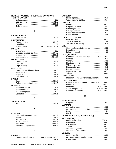# **HOTELS, ROOMING HOUSES AND DORMITORY**

| <b>UNITS, MOTELS</b> |  |  |
|----------------------|--|--|
|                      |  |  |

| Toilet rooms503 |  |
|-----------------|--|

**I**

| <b>IDENTIFICATION</b>               |
|-------------------------------------|
|                                     |
| <b>INFESTATION</b>                  |
| Condemnation 108.1.3                |
| Insect and rat 302.5, 304.14, 307.1 |
|                                     |
| <b>INSECTS</b>                      |
| Extermination 308                   |
| Garbage storage facilities. 307.3   |
|                                     |
|                                     |
| <b>INSPECTIONS</b>                  |
|                                     |
|                                     |
|                                     |
| <b>INSPECTOR</b>                    |
| Coordination of inspections 104.8   |
|                                     |
|                                     |
|                                     |
| <b>INTENT</b>                       |
|                                     |
| Rule-making authority 104.2         |
| <b>INTERIOR</b>                     |
|                                     |
|                                     |
|                                     |
|                                     |

# **J**

#### **JURISDICTION**

# **K**

#### **KITCHEN**

| Electrical outlets required. 605.2                          |  |
|-------------------------------------------------------------|--|
|                                                             |  |
|                                                             |  |
| Minimum width $\dots\dots\dots\dots\dots\dots\dots$ . 404.2 |  |
|                                                             |  |
| Water heating facilities 505.4                              |  |

# **L**

#### **LANDING**

Handrails and guards . . . . . . [304.12,](#page-17-0) [305.4, 305.5](#page-18-0) [306.1](#page-18-0)

|             | <b>LAUNDRY</b>                              |
|-------------|---------------------------------------------|
|             |                                             |
|             | Water heating facilities 505.4              |
|             | <b>LAVATORY</b>                             |
|             |                                             |
|             |                                             |
|             |                                             |
|             | Sewage system506                            |
|             | Water heating facilities 505.4              |
|             |                                             |
|             | <b>LEASE (SELL, RENT)</b>                   |
|             |                                             |
|             |                                             |
|             | Transfer of ownership 107.5                 |
| <b>LIEN</b> |                                             |
|             | Closing of vacant structures 108.2          |
|             |                                             |
|             |                                             |
|             | <b>LIGHT, LIGHTING</b>                      |
|             | Common halls and stairways. 402.2, 605.3    |
|             |                                             |
|             |                                             |
|             |                                             |
|             |                                             |
|             |                                             |
|             | Scope101.2                                  |
|             |                                             |
|             |                                             |
|             | <b>LIVING ROOM</b>                          |
|             | Minimum occupancy area requirements 404.5   |
|             | <b>LOAD, LOADING</b>                        |
|             | Elevators, escalators and dumbwaiters 606.1 |
|             |                                             |
|             |                                             |
|             | Stairs and porches 304.10, 305.2            |
|             | Structural members 304.4, 305.2             |
|             |                                             |

## **M**

#### **MAINTENANCE**

| <b>MATERIAL</b> |                                      |  |
|-----------------|--------------------------------------|--|
|                 | Alternative  105.2                   |  |
|                 | Clearances, heating facilities 603.3 |  |
|                 |                                      |  |
|                 |                                      |  |
|                 |                                      |  |

#### **MEANS OF EGRESS (See EGRESS)**

#### **MECHANICAL**

| Ventilation, toilet rooms  403.2  |  |
|-----------------------------------|--|
| <b>MINIMUM</b>                    |  |
|                                   |  |
| Occupancy area requirements 404.5 |  |
|                                   |  |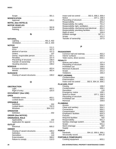| <b>MODIFICATION</b>       |                                                                             |
|---------------------------|-----------------------------------------------------------------------------|
|                           |                                                                             |
| <b>MOTEL (See HOTELS)</b> |                                                                             |
| <b>MOTOR VEHICLES</b>     |                                                                             |
|                           | Inoperative $\ldots \ldots \ldots \ldots \ldots \ldots \ldots \ldots 302.8$ |
|                           |                                                                             |
|                           |                                                                             |

# **N**

# **NATURAL**

| <b>NOTICE</b>                      |
|------------------------------------|
|                                    |
|                                    |
| Method of service107.3             |
|                                    |
| Owner, responsible person. 107.1   |
|                                    |
| Placarding of structure 108.4      |
| Transfer of ownership 107.5        |
|                                    |
| <b>NOXIOUS</b>                     |
|                                    |
|                                    |
| <b>NUISANCE</b>                    |
| Closing of vacant structures 108.2 |

# **O**

| <b>OBSTRUCTION</b>                |  |
|-----------------------------------|--|
|                                   |  |
|                                   |  |
| <b>OCCUPANCY (See USE)</b>        |  |
| <b>OPEN</b>                       |  |
| Habitable rooms403.1              |  |
|                                   |  |
| <b>OPENABLE</b>                   |  |
|                                   |  |
|                                   |  |
|                                   |  |
| <b>OPERATOR</b>                   |  |
|                                   |  |
| <b>ORDER (See NOTICE)</b>         |  |
| <b>ORDINANCE, RULE</b>            |  |
|                                   |  |
| Application for appeal111.1       |  |
| <b>OUTLET</b>                     |  |
| Electrical605.2                   |  |
| <b>OWNER</b>                      |  |
| Closing of vacant structures108.2 |  |
|                                   |  |
|                                   |  |
|                                   |  |
|                                   |  |

# **P**

#### **PASSAGEWAY**

| Common hall and stairway 402.2<br>Toilet rooms, direct access503.1                                                                                |  |
|---------------------------------------------------------------------------------------------------------------------------------------------------|--|
| <b>PENALTY</b>                                                                                                                                    |  |
| Placarding of structure 108.4<br>Prohibited use 108.5<br>Scope101.2                                                                               |  |
| <b>PEST (VERMIN)</b>                                                                                                                              |  |
| Insect and rat control 302.5, 304.14, 308.1                                                                                                       |  |
| <b>PLACARD, POST</b>                                                                                                                              |  |
|                                                                                                                                                   |  |
| Emergency, notice  109.1                                                                                                                          |  |
| Notice to owner 107.1, 108.3                                                                                                                      |  |
| Placarding of structure 108.4                                                                                                                     |  |
| Prohibited use  108.5<br>Removal108.6                                                                                                             |  |
| <b>PLUMBING</b>                                                                                                                                   |  |
| Employee's facilities 503.3<br>Required facilities 502<br>Responsibility501.2<br>Sanitary drainage system 506<br>Scope501.1<br>Storm drainage 507 |  |
| <b>PORCH</b><br>Handrails 304.12, 305.5, 306.1                                                                                                    |  |
|                                                                                                                                                   |  |
| <b>PORTABLE (TEMPORARY)</b>                                                                                                                       |  |
| Cooking equipment 603.1                                                                                                                           |  |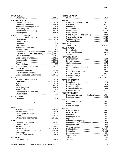| <b>PRESSURE</b>                                |  |
|------------------------------------------------|--|
|                                                |  |
| PRIVATE, PRIVACY                               |  |
| Bathtub or shower 503.1                        |  |
| Occupancy limitations  404.1                   |  |
| Required plumbing facilities 502               |  |
|                                                |  |
| Water closet and lavatory. 503.1               |  |
|                                                |  |
| <b>PROPERTY, PREMISES</b>                      |  |
| Access to public property702.1                 |  |
| Condemnation108                                |  |
|                                                |  |
|                                                |  |
| Emergency measures 109                         |  |
|                                                |  |
| Extermination, multiple occupancy 302.5, 308.4 |  |
| Extermination, single occupancy. 302.5, 308.3  |  |
| Failure to comply 110.3                        |  |
| Grading and drainage. 302.2                    |  |
|                                                |  |
| Scope301.1                                     |  |
| Storm drainage 507                             |  |
| Vacant structures and land. 301.3              |  |
| <b>PROTECTION</b>                              |  |
| Basement windows  304.17                       |  |
| Fire-protection systems704                     |  |
| Signs, marquees and awnings 304.9              |  |
| <b>PUBLIC</b>                                  |  |
| Access to public property 702.1                |  |
|                                                |  |
|                                                |  |
| Hallway502.3                                   |  |
|                                                |  |
|                                                |  |
| Vacant structures and land301.3                |  |
|                                                |  |
| <b>PUBLIC WAY</b>                              |  |
|                                                |  |
|                                                |  |
| R                                              |  |

# **RAIN**

| Basement hatchways 304.16         |  |  |
|-----------------------------------|--|--|
|                                   |  |  |
| Grading and drainage303.2         |  |  |
|                                   |  |  |
| Window and door frames 304.13     |  |  |
| <b>RATS</b>                       |  |  |
| Basement hatchways 304.16         |  |  |
| Condemnation108                   |  |  |
|                                   |  |  |
|                                   |  |  |
| Guards for basement windows304.17 |  |  |
| Harborage 302.5                   |  |  |
| Insect and rat control 308.1      |  |  |
| <b>RECORD</b>                     |  |  |
|                                   |  |  |

| <b>REHABILITATION</b>                     |  |
|-------------------------------------------|--|
| <b>REPAIR</b>                             |  |
| Application of other codes 102.3          |  |
|                                           |  |
| Demolition 110.1                          |  |
| Exterior surfaces 304.1                   |  |
|                                           |  |
|                                           |  |
| Signs, marquees and awnings 304.9         |  |
| Stairs and porches 304.10                 |  |
|                                           |  |
|                                           |  |
|                                           |  |
| <b>REPORTS</b>                            |  |
|                                           |  |
| <b>RESIDENTIAL</b>                        |  |
| Extermination 308                         |  |
|                                           |  |
| Scope101.2                                |  |
| <b>RESPONSIBILITY</b>                     |  |
|                                           |  |
|                                           |  |
| Garbage disposal307.3                     |  |
|                                           |  |
| Mechanical and electrical. 601.2          |  |
|                                           |  |
| Placarding of structure 108.4             |  |
|                                           |  |
|                                           |  |
|                                           |  |
| <b>REVOKE, REMOVE</b>                     |  |
|                                           |  |
|                                           |  |
|                                           |  |
| Existing remedies102.4                    |  |
|                                           |  |
|                                           |  |
|                                           |  |
| <b>RIGHT OF ENTRY</b>                     |  |
| Duties and powers of code official 104.4  |  |
| Inspections 104.3                         |  |
| <b>ROOF</b>                               |  |
|                                           |  |
|                                           |  |
|                                           |  |
| <b>ROOM</b>                               |  |
|                                           |  |
|                                           |  |
|                                           |  |
|                                           |  |
|                                           |  |
| Minimum ceiling heights 404.3             |  |
| Minimum occupancy area requirements 404.5 |  |
|                                           |  |
|                                           |  |
|                                           |  |
| Separation 404.5.2                        |  |
|                                           |  |
| Temperature602.5                          |  |
|                                           |  |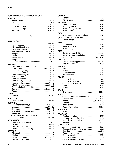# **ROOMING HOUSES (See DORMITORY)**

## **RUBBISH**

| Rubbish storage 307.2.1 |  |
|-------------------------|--|
|                         |  |
|                         |  |

## **S**

|      | <b>SAFETY, SAFE</b>                 |  |
|------|-------------------------------------|--|
|      | Chimney304.11                       |  |
|      |                                     |  |
|      |                                     |  |
|      | Emergency measures 109              |  |
|      | Fire safety requirements 701        |  |
|      |                                     |  |
|      |                                     |  |
|      |                                     |  |
|      |                                     |  |
|      | Scope101.2                          |  |
|      | Unsafe structures and equipment 108 |  |
|      | <b>SANITARY</b>                     |  |
|      | Bathroom and kitchen floors. 305.3  |  |
|      |                                     |  |
|      | Disposal of garbage 307.3           |  |
|      |                                     |  |
|      | Exterior property areas. 302.1      |  |
|      |                                     |  |
|      |                                     |  |
|      | Furnished by occupant. 302.1        |  |
|      |                                     |  |
|      |                                     |  |
|      |                                     |  |
|      | Required plumbing facilities 502    |  |
|      | Sanitation  305.1, 305.3            |  |
|      |                                     |  |
| SASH |                                     |  |
|      |                                     |  |
|      | <b>SCREENS</b>                      |  |
|      |                                     |  |
|      |                                     |  |
|      | <b>SECURITY</b>                     |  |
|      | Basement hatchways 304.18.3         |  |
|      |                                     |  |
|      |                                     |  |
|      | Vacant structures and land. 301.3   |  |
|      |                                     |  |
|      | <b>SELF-CLOSING SCREEN DOORS</b>    |  |
|      |                                     |  |
|      | <b>SEPARATION</b>                   |  |
|      | Fire-resistance ratings. 703        |  |
|      |                                     |  |
|      | Privacv                             |  |
|      |                                     |  |
|      | Water closet and lavatory502.1      |  |
|      | <b>SERVICE</b>                      |  |
|      | Electrical 604.2                    |  |
|      |                                     |  |
|      | Notices and orders  107.1, 108.3    |  |
|      | Service on occupant. 108.3          |  |
|      |                                     |  |

| <b>SEWER</b>                             |  |
|------------------------------------------|--|
| General506.1                             |  |
| Maintenance506.2                         |  |
| <b>SHOWER</b>                            |  |
| Bathtub or shower 502.1                  |  |
|                                          |  |
| Water heating facilities 505.4           |  |
|                                          |  |
|                                          |  |
| <b>SIGN</b>                              |  |
| Signs, marquees and awnings 304.9        |  |
| <b>SINGLE-FAMILY DWELLING</b>            |  |
|                                          |  |
| <b>SINK</b>                              |  |
|                                          |  |
| Sewage system506                         |  |
|                                          |  |
|                                          |  |
| <b>SIZE</b>                              |  |
|                                          |  |
| Habitable room, ventilation 403          |  |
|                                          |  |
| <b>SLEEPING</b>                          |  |
| Area for sleeping purposes 404.4.1       |  |
|                                          |  |
| <b>SMOKE</b>                             |  |
|                                          |  |
|                                          |  |
|                                          |  |
|                                          |  |
|                                          |  |
| <b>SPACE</b>                             |  |
|                                          |  |
|                                          |  |
| Occupancy limitations 404                |  |
|                                          |  |
| Scope 401.1                              |  |
| <b>STACK</b>                             |  |
| Chimneys304.11                           |  |
| <b>STAIRS</b>                            |  |
| Common halls and stairways, light. 402.2 |  |
|                                          |  |
| Handrails304.12, 305.5                   |  |
|                                          |  |
|                                          |  |
| Stairs and porches 304.10                |  |
| <b>STANDARD</b>                          |  |
| Referenced102.7                          |  |
|                                          |  |
| <b>STORAGE</b>                           |  |
|                                          |  |
| Garbage storage facilities. 307.3        |  |
| Rubbish storage facilities. 307.2.1      |  |
|                                          |  |
| <b>STRUCTURE</b>                         |  |
| Accessory structures 302.7               |  |
| Closing of vacant structures 108.2       |  |
|                                          |  |
| Emergency measures 109                   |  |
|                                          |  |
| General, condemnation110                 |  |
| General, interior structure 305.1        |  |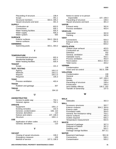| Placarding of structure 108.4<br>Structural members 304.4, 305.2<br>Vacant structures and land301.3 |
|-----------------------------------------------------------------------------------------------------|
| <b>SUPPLY</b>                                                                                       |
| Combustion air 603.5<br>Water heating facilities 505.4<br>Water system505                           |
| <b>SURFACE</b>                                                                                      |
| Exterior surfaces 304.2, 304.6<br><b>SWIMMING</b>                                                   |
| Swimming pools 303.1, 303.2                                                                         |

# **T**

# **TEMPERATURE**

| Nonresidential structures 602.4 |
|---------------------------------|
| Residential buildings 602.2     |
| Water heating facilities 505.4  |
| <b>TENANT</b>                   |
|                                 |
| <b>TEST, TESTING</b>            |
| Agency  105.3.2                 |
|                                 |
|                                 |
|                                 |
| <b>TOXIC</b>                    |
|                                 |
| <b>TRASH</b>                    |
| Rubbish and garbage 307         |
| <b>TREAD</b>                    |
|                                 |
|                                 |

# **U**

|               | <b>UNOBSTRUCTED</b>              |  |
|---------------|----------------------------------|--|
|               |                                  |  |
|               |                                  |  |
| <b>UNSAFE</b> |                                  |  |
|               | Equipment108.1.2                 |  |
|               |                                  |  |
|               | General, condemnation 108, 110   |  |
|               |                                  |  |
|               | Notices and orders 107, 108.3    |  |
|               |                                  |  |
| <b>USE</b>    |                                  |  |
|               | Application of other codes 102.3 |  |

## **V**

#### **VACANT**

| Closing of vacant structures108.2 |  |
|-----------------------------------|--|
| Emergency measure109              |  |
| Method of service 107.3, 108.3    |  |

|               | Notice to owner or to person                                    |  |
|---------------|-----------------------------------------------------------------|--|
|               |                                                                 |  |
|               | Placarding of structure 108.4                                   |  |
|               | Vacant structures and land301.3                                 |  |
| <b>VAPOR</b>  |                                                                 |  |
|               | Exhaust vents302.6                                              |  |
|               | <b>VEHICLES</b>                                                 |  |
|               |                                                                 |  |
|               |                                                                 |  |
| <b>VENT</b>   |                                                                 |  |
|               |                                                                 |  |
|               | Exhaust vents302.6                                              |  |
|               |                                                                 |  |
|               | <b>VENTILATION</b>                                              |  |
|               | Clothes dryer exhaust  403.5                                    |  |
|               | Combustion air 603.5                                            |  |
|               |                                                                 |  |
|               |                                                                 |  |
|               |                                                                 |  |
|               | Recirculation 403.2, 403.4                                      |  |
|               |                                                                 |  |
| <b>VERMIN</b> |                                                                 |  |
|               |                                                                 |  |
|               | Insect and rat control $\ldots \ldots \ldots \ldots 302.5, 308$ |  |
|               | <b>VIOLATION</b>                                                |  |
|               | Condemnation108                                                 |  |
|               |                                                                 |  |
|               |                                                                 |  |
|               |                                                                 |  |
|               | Placarding of structure 108.4<br>Prosecution  106.3             |  |
|               | Strict liability offense. 106.3, 202                            |  |
|               | Transfer of ownership 107.5                                     |  |
|               |                                                                 |  |

# **W**

| <b>WALK</b>                           |  |
|---------------------------------------|--|
| Sidewalks302.3                        |  |
| <b>WALL</b>                           |  |
| Accessory structures 302.7            |  |
| Exterior surfaces 304.2, 304.6        |  |
|                                       |  |
|                                       |  |
| General, fire-resistance rating 703.1 |  |
|                                       |  |
|                                       |  |
| Temperature measurement 602.5         |  |
| <b>WASTE</b>                          |  |
| Disposal of garbage 307.3             |  |
|                                       |  |
|                                       |  |
| Garbage storage facilities 307.3.1    |  |
| <b>WATER</b>                          |  |
| Basement hatchways 304.16             |  |
|                                       |  |
|                                       |  |